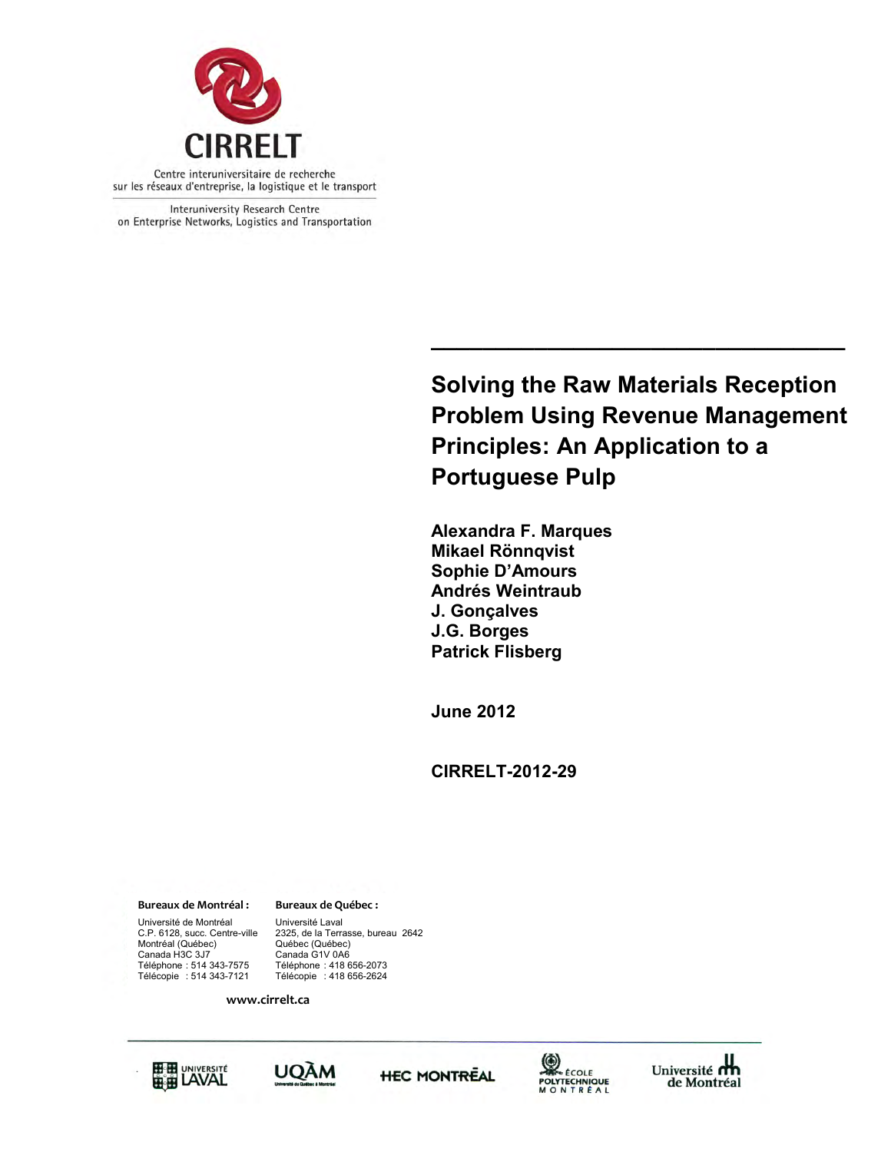

Interuniversity Research Centre on Enterprise Networks, Logistics and Transportation

> **Solving the Raw Materials Reception Problem Using Revenue Management Principles: An Application to a Portuguese Pulp**

**\_\_\_\_\_\_\_\_\_\_\_\_\_\_\_\_\_\_\_\_\_\_\_\_\_\_\_\_\_\_\_\_**

**Alexandra F. Marques Mikael Rönnqvist Sophie D'Amours Andrés Weintraub J. Gonçalves J.G. Borges Patrick Flisberg** 

**June 2012** 

**CIRRELT-2012-29**

**Bureaux de Montréal : Bureaux de Québec :**

Université de Montréal Université Laval<br>C.P. 6128, succ. Centre-ville 2325, de la Terra Montréal (Québec) Canada H3C 3J7<br>Téléphone : 514 343-7575<br>Télécopie : 514 343-7121 Téléphone : 514 343-7575 Téléphone : 418 656-2073 Télécopie : 514 343-7121 Télécopie : 418 656-2624

Canada G1V 0A6 2325, de la Terrasse, bureau 2642<br>Québec (Québec)

**www.cirrelt.ca** 









Université du de Montréal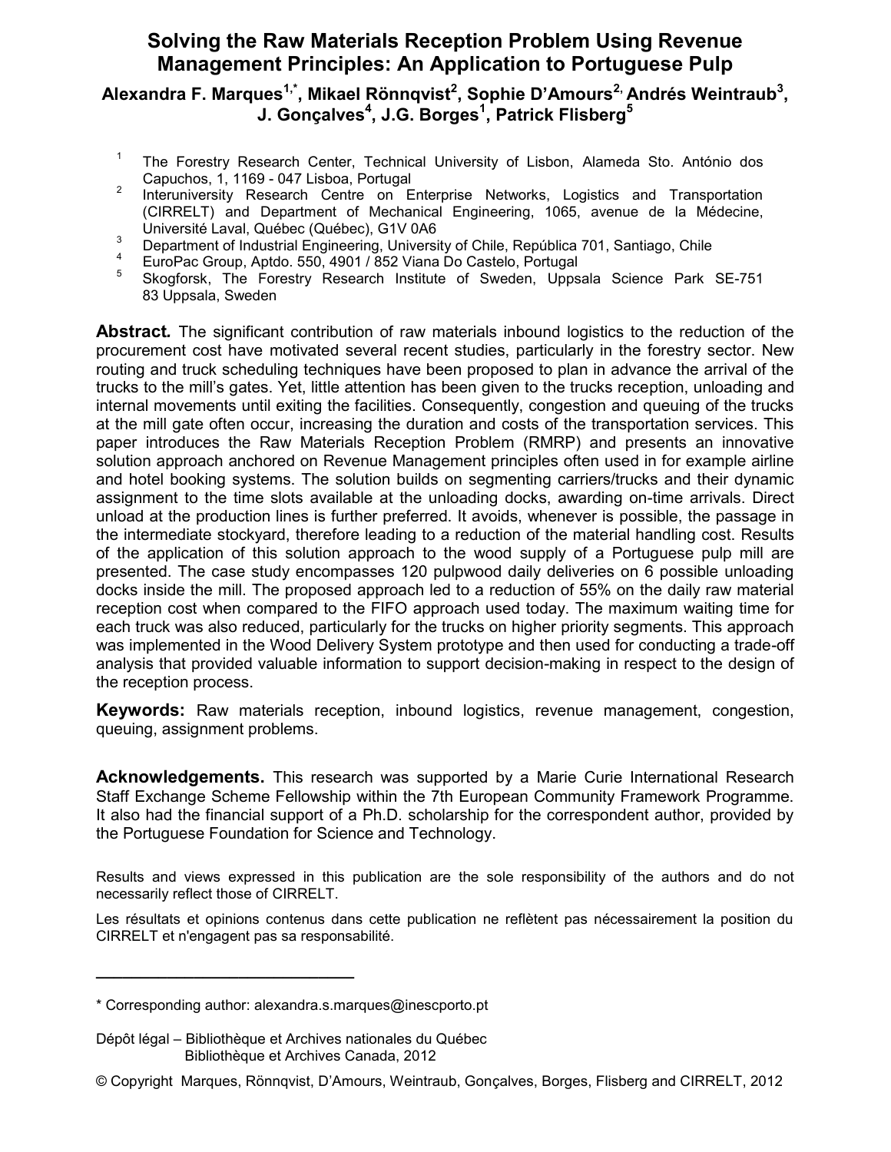### **Solving the Raw Materials Reception Problem Using Revenue Management Principles: An Application to Portuguese Pulp**

#### **Alexandra F. Marques1,\* , Mikael Rönnqvist<sup>2</sup> , Sophie D'Amours2, Andrés Weintraub<sup>3</sup> , J. Gonçalves<sup>4</sup> , J.G. Borges<sup>1</sup> , Patrick Flisberg<sup>5</sup>**

- 1 The Forestry Research Center, Technical University of Lisbon, Alameda Sto. António dos Capuchos, 1, 1169 - 047 Lisboa, Portugal
- 2 Interuniversity Research Centre on Enterprise Networks, Logistics and Transportation (CIRRELT) and Department of Mechanical Engineering, 1065, avenue de la Médecine, Université Laval, Québec (Québec), G1V 0A6
- 3 Department of Industrial Engineering, University of Chile, República 701, Santiago, Chile
- 4 EuroPac Group, Aptdo. 550, 4901 / 852 Viana Do Castelo, Portugal
- 5 Skogforsk, The Forestry Research Institute of Sweden, Uppsala Science Park SE-751 83 Uppsala, Sweden

**Abstract***.* The significant contribution of raw materials inbound logistics to the reduction of the procurement cost have motivated several recent studies, particularly in the forestry sector. New routing and truck scheduling techniques have been proposed to plan in advance the arrival of the trucks to the mill's gates. Yet, little attention has been given to the trucks reception, unloading and internal movements until exiting the facilities. Consequently, congestion and queuing of the trucks at the mill gate often occur, increasing the duration and costs of the transportation services. This paper introduces the Raw Materials Reception Problem (RMRP) and presents an innovative solution approach anchored on Revenue Management principles often used in for example airline and hotel booking systems. The solution builds on segmenting carriers/trucks and their dynamic assignment to the time slots available at the unloading docks, awarding on-time arrivals. Direct unload at the production lines is further preferred. It avoids, whenever is possible, the passage in the intermediate stockyard, therefore leading to a reduction of the material handling cost. Results of the application of this solution approach to the wood supply of a Portuguese pulp mill are presented. The case study encompasses 120 pulpwood daily deliveries on 6 possible unloading docks inside the mill. The proposed approach led to a reduction of 55% on the daily raw material reception cost when compared to the FIFO approach used today. The maximum waiting time for each truck was also reduced, particularly for the trucks on higher priority segments. This approach was implemented in the Wood Delivery System prototype and then used for conducting a trade-off analysis that provided valuable information to support decision-making in respect to the design of the reception process.

**Keywords:** Raw materials reception, inbound logistics, revenue management, congestion, queuing, assignment problems.

**Acknowledgements.** This research was supported by a Marie Curie International Research Staff Exchange Scheme Fellowship within the 7th European Community Framework Programme. It also had the financial support of a Ph.D. scholarship for the correspondent author, provided by the Portuguese Foundation for Science and Technology.

Results and views expressed in this publication are the sole responsibility of the authors and do not necessarily reflect those of CIRRELT.

Les résultats et opinions contenus dans cette publication ne reflètent pas nécessairement la position du CIRRELT et n'engagent pas sa responsabilité.

**\_\_\_\_\_\_\_\_\_\_\_\_\_\_\_\_\_\_\_\_\_\_\_\_\_\_\_\_\_**

Dépôt légal – Bibliothèque et Archives nationales du Québec Bibliothèque et Archives Canada, 2012

<sup>\*</sup> Corresponding author: alexandra.s.marques@inescporto.pt

<sup>©</sup> Copyright Marques, Rönnqvist, D'Amours, Weintraub, Gonçalves, Borges, Flisberg and CIRRELT, 2012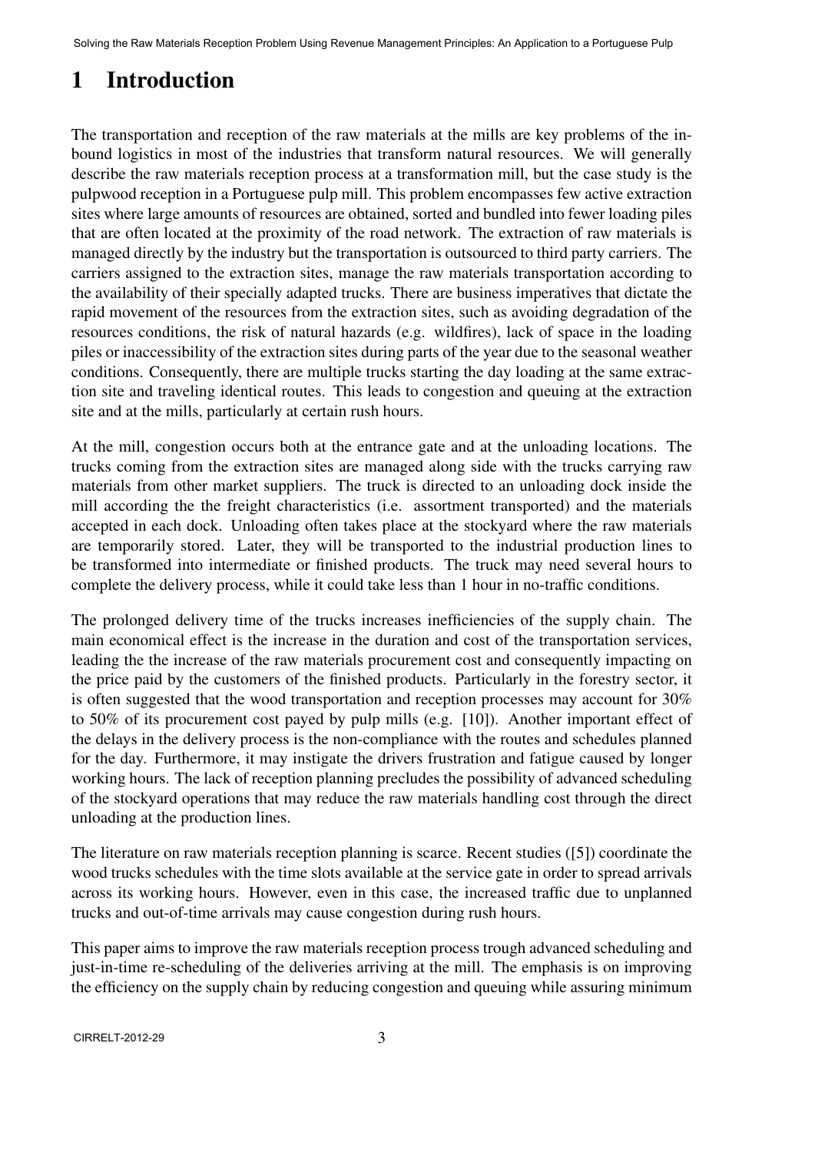# 1 Introduction

The transportation and reception of the raw materials at the mills are key problems of the inbound logistics in most of the industries that transform natural resources. We will generally describe the raw materials reception process at a transformation mill, but the case study is the pulpwood reception in a Portuguese pulp mill. This problem encompasses few active extraction sites where large amounts of resources are obtained, sorted and bundled into fewer loading piles that are often located at the proximity of the road network. The extraction of raw materials is managed directly by the industry but the transportation is outsourced to third party carriers. The carriers assigned to the extraction sites, manage the raw materials transportation according to the availability of their specially adapted trucks. There are business imperatives that dictate the rapid movement of the resources from the extraction sites, such as avoiding degradation of the resources conditions, the risk of natural hazards (e.g. wildfires), lack of space in the loading piles or inaccessibility of the extraction sites during parts of the year due to the seasonal weather conditions. Consequently, there are multiple trucks starting the day loading at the same extraction site and traveling identical routes. This leads to congestion and queuing at the extraction site and at the mills, particularly at certain rush hours.

At the mill, congestion occurs both at the entrance gate and at the unloading locations. The trucks coming from the extraction sites are managed along side with the trucks carrying raw materials from other market suppliers. The truck is directed to an unloading dock inside the mill according the the freight characteristics (i.e. assortment transported) and the materials accepted in each dock. Unloading often takes place at the stockyard where the raw materials are temporarily stored. Later, they will be transported to the industrial production lines to be transformed into intermediate or finished products. The truck may need several hours to complete the delivery process, while it could take less than 1 hour in no-traffic conditions.

The prolonged delivery time of the trucks increases inefficiencies of the supply chain. The main economical effect is the increase in the duration and cost of the transportation services, leading the the increase of the raw materials procurement cost and consequently impacting on the price paid by the customers of the finished products. Particularly in the forestry sector, it is often suggested that the wood transportation and reception processes may account for 30% to 50% of its procurement cost payed by pulp mills (e.g. [10]). Another important effect of the delays in the delivery process is the non-compliance with the routes and schedules planned for the day. Furthermore, it may instigate the drivers frustration and fatigue caused by longer working hours. The lack of reception planning precludes the possibility of advanced scheduling of the stockyard operations that may reduce the raw materials handling cost through the direct unloading at the production lines.

The literature on raw materials reception planning is scarce. Recent studies ([5]) coordinate the wood trucks schedules with the time slots available at the service gate in order to spread arrivals across its working hours. However, even in this case, the increased traffic due to unplanned trucks and out-of-time arrivals may cause congestion during rush hours.

This paper aims to improve the raw materials reception process trough advanced scheduling and just-in-time re-scheduling of the deliveries arriving at the mill. The emphasis is on improving the efficiency on the supply chain by reducing congestion and queuing while assuring minimum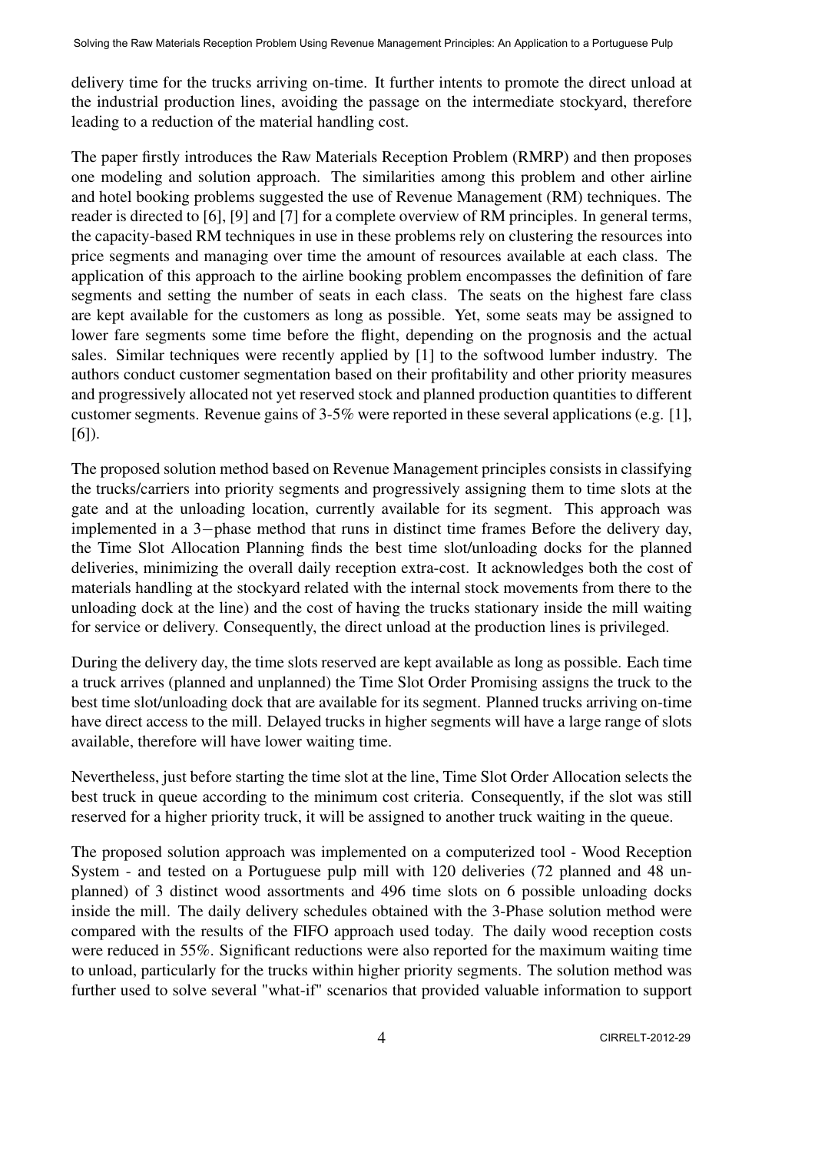delivery time for the trucks arriving on-time. It further intents to promote the direct unload at the industrial production lines, avoiding the passage on the intermediate stockyard, therefore leading to a reduction of the material handling cost.

The paper firstly introduces the Raw Materials Reception Problem (RMRP) and then proposes one modeling and solution approach. The similarities among this problem and other airline and hotel booking problems suggested the use of Revenue Management (RM) techniques. The reader is directed to [6], [9] and [7] for a complete overview of RM principles. In general terms, the capacity-based RM techniques in use in these problems rely on clustering the resources into price segments and managing over time the amount of resources available at each class. The application of this approach to the airline booking problem encompasses the definition of fare segments and setting the number of seats in each class. The seats on the highest fare class are kept available for the customers as long as possible. Yet, some seats may be assigned to lower fare segments some time before the flight, depending on the prognosis and the actual sales. Similar techniques were recently applied by [1] to the softwood lumber industry. The authors conduct customer segmentation based on their profitability and other priority measures and progressively allocated not yet reserved stock and planned production quantities to different customer segments. Revenue gains of 3-5% were reported in these several applications (e.g. [1], [6]).

The proposed solution method based on Revenue Management principles consists in classifying the trucks/carriers into priority segments and progressively assigning them to time slots at the gate and at the unloading location, currently available for its segment. This approach was implemented in a 3*−*phase method that runs in distinct time frames Before the delivery day, the Time Slot Allocation Planning finds the best time slot/unloading docks for the planned deliveries, minimizing the overall daily reception extra-cost. It acknowledges both the cost of materials handling at the stockyard related with the internal stock movements from there to the unloading dock at the line) and the cost of having the trucks stationary inside the mill waiting for service or delivery. Consequently, the direct unload at the production lines is privileged.

During the delivery day, the time slots reserved are kept available as long as possible. Each time a truck arrives (planned and unplanned) the Time Slot Order Promising assigns the truck to the best time slot/unloading dock that are available for its segment. Planned trucks arriving on-time have direct access to the mill. Delayed trucks in higher segments will have a large range of slots available, therefore will have lower waiting time.

Nevertheless, just before starting the time slot at the line, Time Slot Order Allocation selects the best truck in queue according to the minimum cost criteria. Consequently, if the slot was still reserved for a higher priority truck, it will be assigned to another truck waiting in the queue.

The proposed solution approach was implemented on a computerized tool - Wood Reception System - and tested on a Portuguese pulp mill with 120 deliveries (72 planned and 48 unplanned) of 3 distinct wood assortments and 496 time slots on 6 possible unloading docks inside the mill. The daily delivery schedules obtained with the 3-Phase solution method were compared with the results of the FIFO approach used today. The daily wood reception costs were reduced in 55%. Significant reductions were also reported for the maximum waiting time to unload, particularly for the trucks within higher priority segments. The solution method was further used to solve several "what-if" scenarios that provided valuable information to support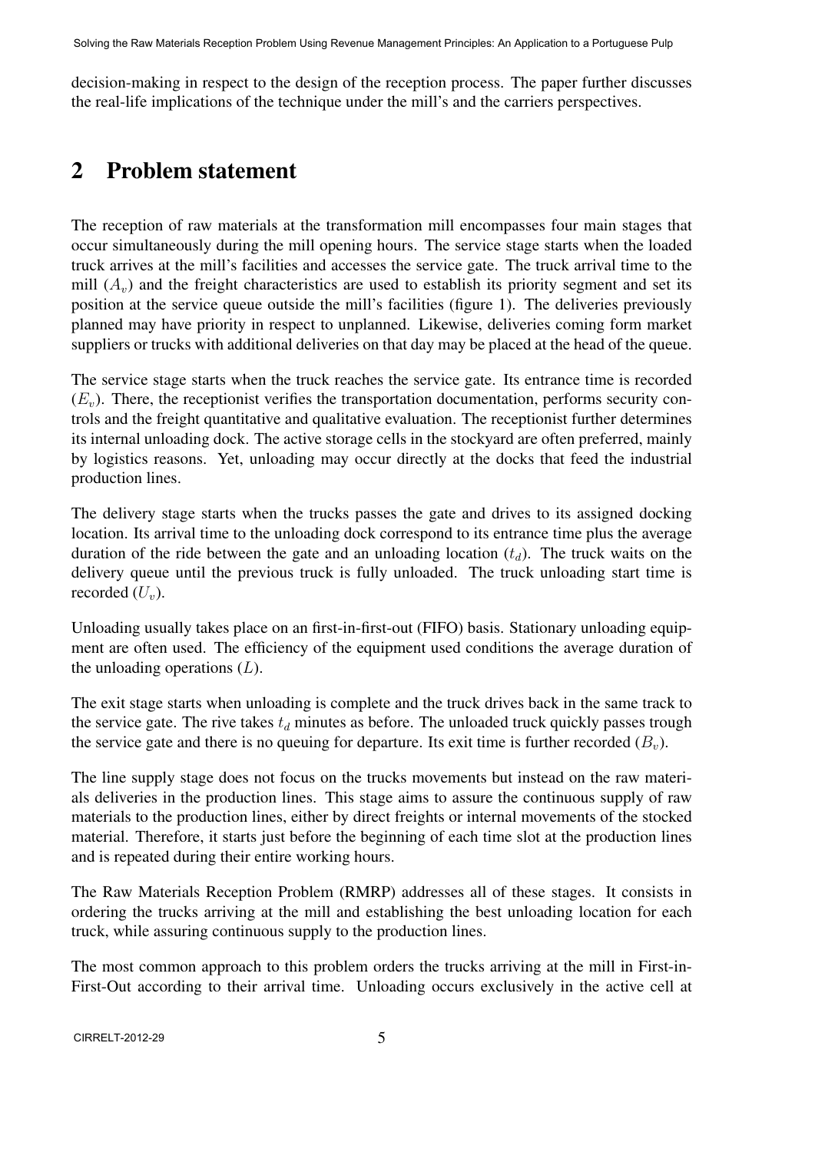decision-making in respect to the design of the reception process. The paper further discusses the real-life implications of the technique under the mill's and the carriers perspectives.

## 2 Problem statement

The reception of raw materials at the transformation mill encompasses four main stages that occur simultaneously during the mill opening hours. The service stage starts when the loaded truck arrives at the mill's facilities and accesses the service gate. The truck arrival time to the mill  $(A<sub>v</sub>)$  and the freight characteristics are used to establish its priority segment and set its position at the service queue outside the mill's facilities (figure 1). The deliveries previously planned may have priority in respect to unplanned. Likewise, deliveries coming form market suppliers or trucks with additional deliveries on that day may be placed at the head of the queue.

The service stage starts when the truck reaches the service gate. Its entrance time is recorded  $(E<sub>v</sub>)$ . There, the receptionist verifies the transportation documentation, performs security controls and the freight quantitative and qualitative evaluation. The receptionist further determines its internal unloading dock. The active storage cells in the stockyard are often preferred, mainly by logistics reasons. Yet, unloading may occur directly at the docks that feed the industrial production lines.

The delivery stage starts when the trucks passes the gate and drives to its assigned docking location. Its arrival time to the unloading dock correspond to its entrance time plus the average duration of the ride between the gate and an unloading location (*td*). The truck waits on the delivery queue until the previous truck is fully unloaded. The truck unloading start time is recorded  $(U_v)$ .

Unloading usually takes place on an first-in-first-out (FIFO) basis. Stationary unloading equipment are often used. The efficiency of the equipment used conditions the average duration of the unloading operations (*L*).

The exit stage starts when unloading is complete and the truck drives back in the same track to the service gate. The rive takes  $t_d$  minutes as before. The unloaded truck quickly passes trough the service gate and there is no queuing for departure. Its exit time is further recorded  $(B<sub>v</sub>)$ .

The line supply stage does not focus on the trucks movements but instead on the raw materials deliveries in the production lines. This stage aims to assure the continuous supply of raw materials to the production lines, either by direct freights or internal movements of the stocked material. Therefore, it starts just before the beginning of each time slot at the production lines and is repeated during their entire working hours.

The Raw Materials Reception Problem (RMRP) addresses all of these stages. It consists in ordering the trucks arriving at the mill and establishing the best unloading location for each truck, while assuring continuous supply to the production lines.

The most common approach to this problem orders the trucks arriving at the mill in First-in-First-Out according to their arrival time. Unloading occurs exclusively in the active cell at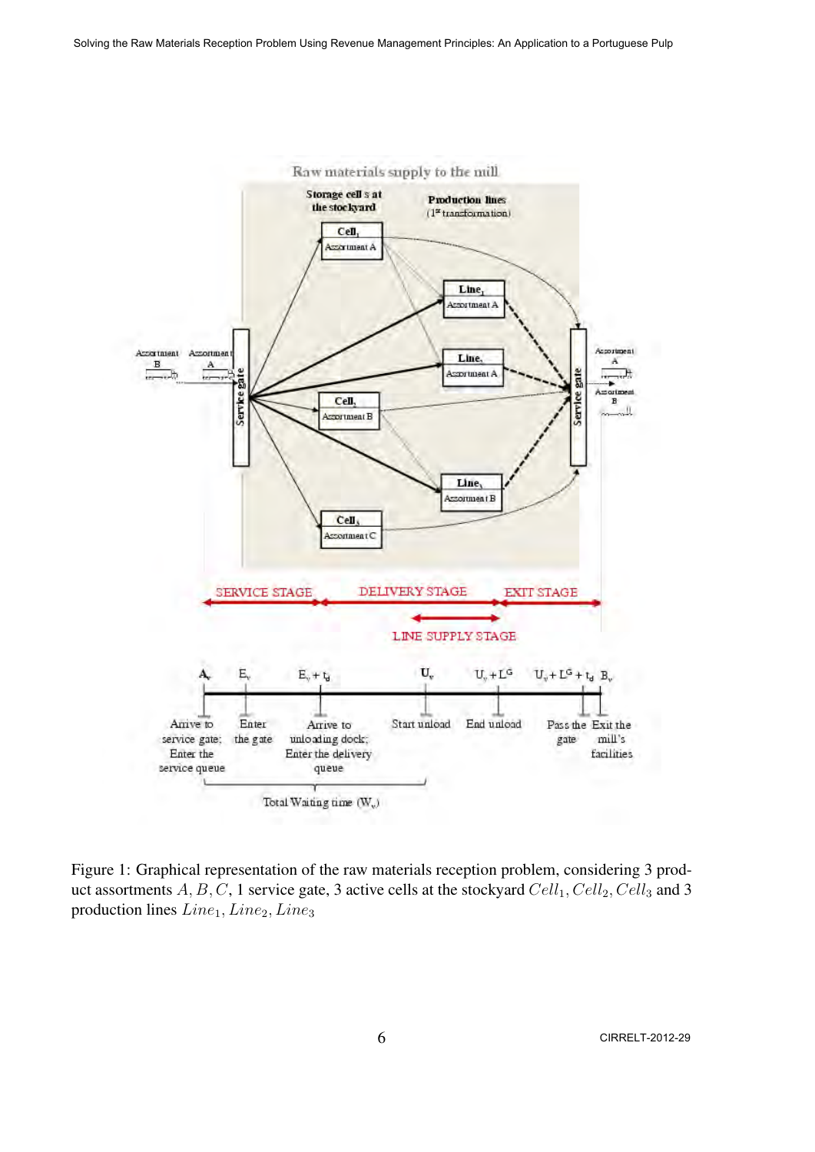

Figure 1: Graphical representation of the raw materials reception problem, considering 3 product assortments A, B, C, 1 service gate, 3 active cells at the stockyard  $Cell_1, Cell_2, Cell_3$  and 3 production lines  $Line_1, Line_2, Line_3$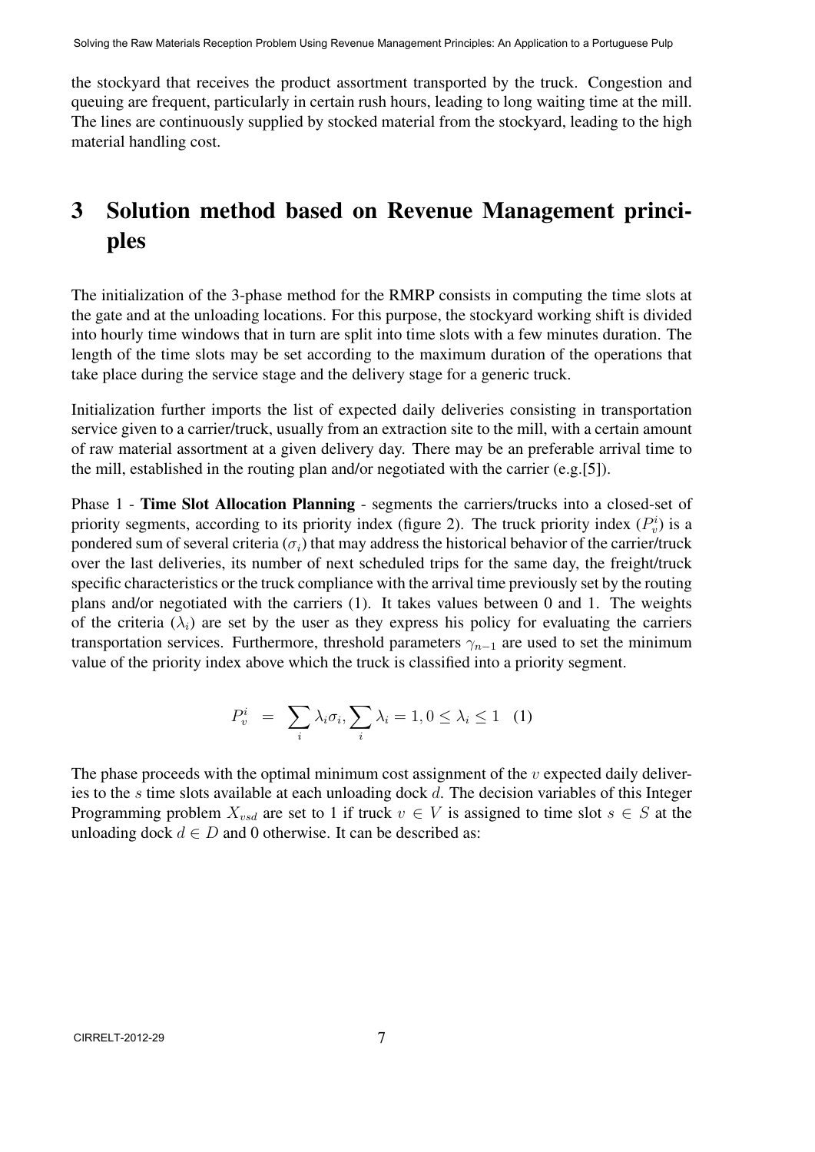the stockyard that receives the product assortment transported by the truck. Congestion and queuing are frequent, particularly in certain rush hours, leading to long waiting time at the mill. The lines are continuously supplied by stocked material from the stockyard, leading to the high material handling cost.

# 3 Solution method based on Revenue Management principles

The initialization of the 3-phase method for the RMRP consists in computing the time slots at the gate and at the unloading locations. For this purpose, the stockyard working shift is divided into hourly time windows that in turn are split into time slots with a few minutes duration. The length of the time slots may be set according to the maximum duration of the operations that take place during the service stage and the delivery stage for a generic truck.

Initialization further imports the list of expected daily deliveries consisting in transportation service given to a carrier/truck, usually from an extraction site to the mill, with a certain amount of raw material assortment at a given delivery day. There may be an preferable arrival time to the mill, established in the routing plan and/or negotiated with the carrier (e.g.[5]).

Phase 1 - Time Slot Allocation Planning - segments the carriers/trucks into a closed-set of priority segments, according to its priority index (figure 2). The truck priority index  $(P_v^i)$  is a pondered sum of several criteria  $(\sigma_i)$  that may address the historical behavior of the carrier/truck over the last deliveries, its number of next scheduled trips for the same day, the freight/truck specific characteristics or the truck compliance with the arrival time previously set by the routing plans and/or negotiated with the carriers (1). It takes values between 0 and 1. The weights of the criteria  $(\lambda_i)$  are set by the user as they express his policy for evaluating the carriers transportation services. Furthermore, threshold parameters  $\gamma_{n-1}$  are used to set the minimum value of the priority index above which the truck is classified into a priority segment.

$$
P_v^i = \sum_i \lambda_i \sigma_i, \sum_i \lambda_i = 1, 0 \le \lambda_i \le 1 \quad (1)
$$

The phase proceeds with the optimal minimum cost assignment of the *v* expected daily deliveries to the *s* time slots available at each unloading dock *d*. The decision variables of this Integer Programming problem  $X_{vsd}$  are set to 1 if truck  $v \in V$  is assigned to time slot  $s \in S$  at the unloading dock  $d \in D$  and 0 otherwise. It can be described as: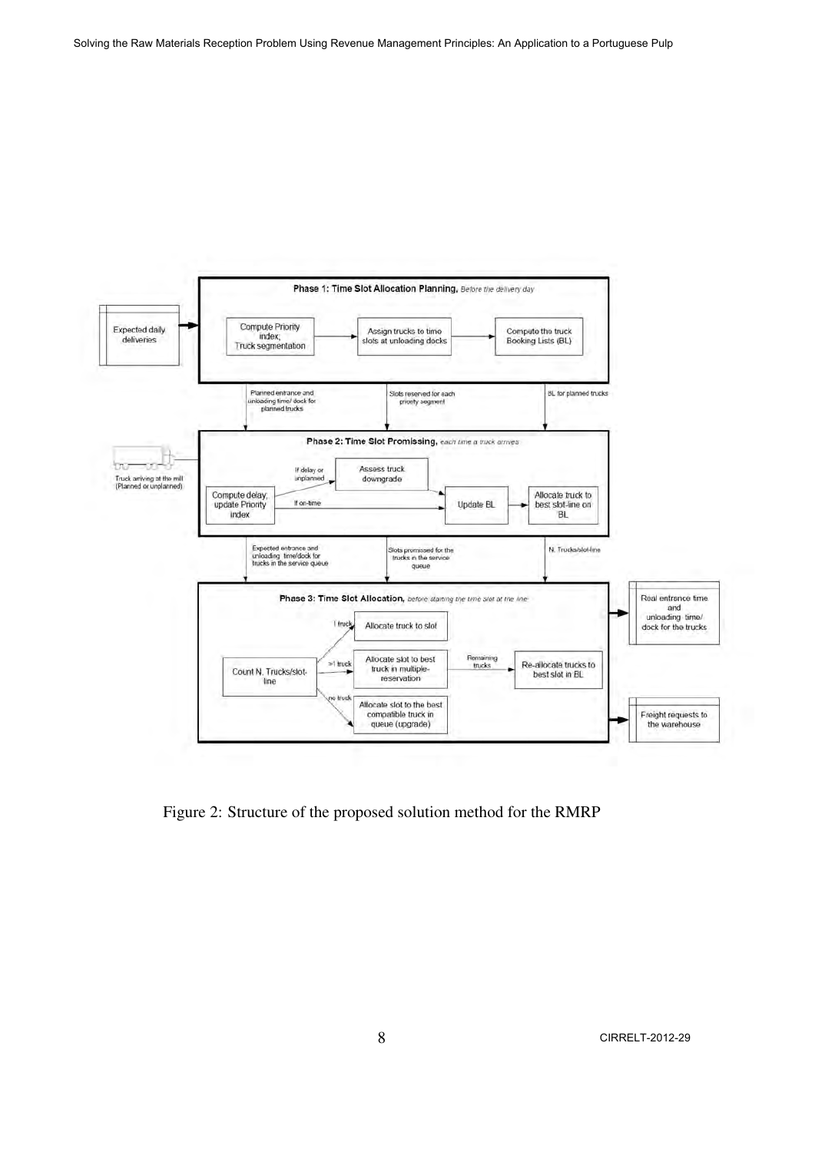

Figure 2: Structure of the proposed solution method for the RMRP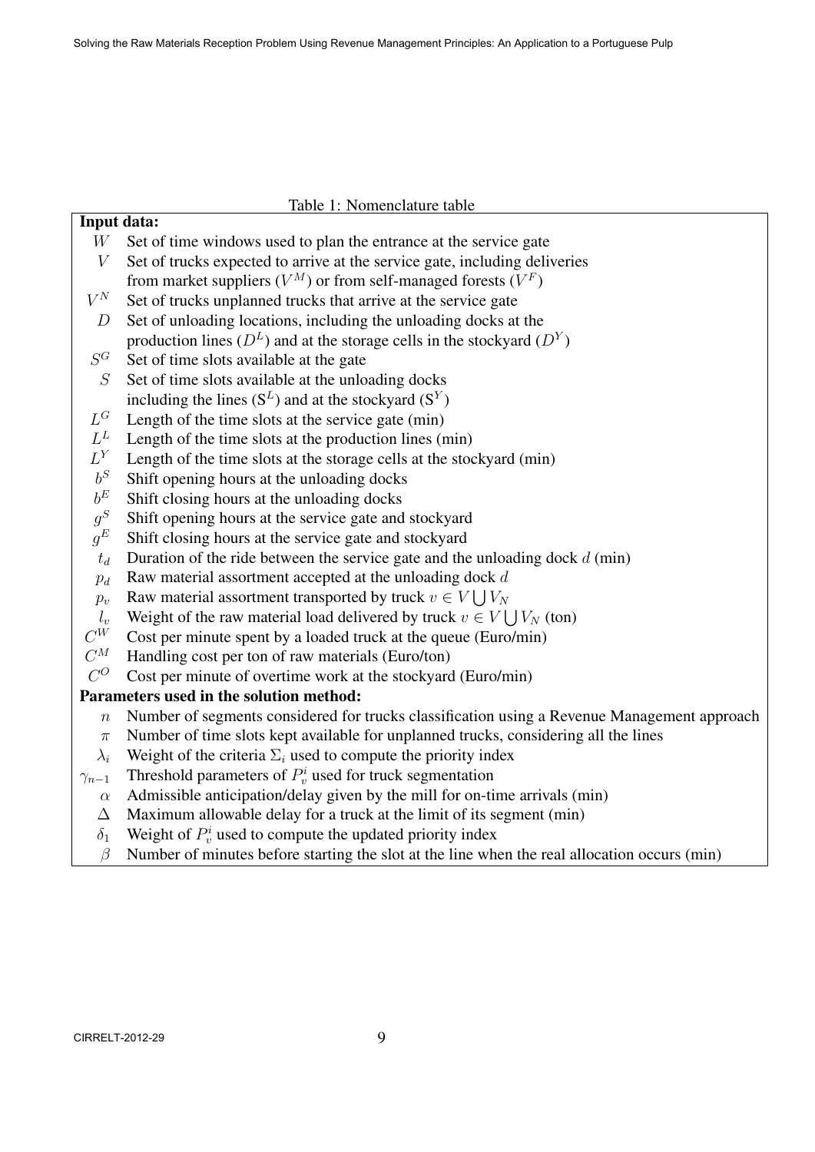|  | Table 1: Nomenclature table |  |
|--|-----------------------------|--|
|  |                             |  |

| $W_{-}$ | Set of time windows used to plan the entrance at the service gate |
|---------|-------------------------------------------------------------------|

- *V* Set of trucks expected to arrive at the service gate, including deliveries
- from market suppliers  $(V^M)$  or from self-managed forests  $(V^F)$
- $V^N$ Set of trucks unplanned trucks that arrive at the service gate
- *D* Set of unloading locations, including the unloading docks at the production lines  $(D^L)$  and at the storage cells in the stockyard  $(D^Y)$
- *S* Set of time slots available at the gate

Input data:

- *S* Set of time slots available at the unloading docks including the lines  $(S^L)$  and at the stockyard  $(S^Y)$
- $L^G$ Length of the time slots at the service gate (min)
- $L^L$ Length of the time slots at the production lines (min)
- $L^Y$ Length of the time slots at the storage cells at the stockyard (min)
- $b^S$ *<sup>S</sup>* Shift opening hours at the unloading docks
- $b^E$ *<sup>E</sup>* Shift closing hours at the unloading docks
- $q^S$ Shift opening hours at the service gate and stockyard
- $g^E$ Shift closing hours at the service gate and stockyard
- $t_d$  Duration of the ride between the service gate and the unloading dock  $d$  (min)
- $p_d$  Raw material assortment accepted at the unloading dock  $d$
- *p*<sup>*v*</sup> Raw material assortment transported by truck  $v \in V \cup V_N$
- *l*<sup>*v*</sup> Weight of the raw material load delivered by truck  $v \in V \cup V_N$  (ton)
- $C^{\tilde{W}}$ Cost per minute spent by a loaded truck at the queue (Euro/min)
- $C^{M}$ Handling cost per ton of raw materials (Euro/ton)
- $C^{O}$ Cost per minute of overtime work at the stockyard (Euro/min)

#### Parameters used in the solution method:

- *n* Number of segments considered for trucks classification using a Revenue Management approach
- *π* Number of time slots kept available for unplanned trucks, considering all the lines
- $\lambda_i$  Weight of the criteria  $\Sigma_i$  used to compute the priority index
- *γ*<sub>*n*−1</sub> Threshold parameters of  $P_v^i$  used for truck segmentation
	- *α* Admissible anticipation/delay given by the mill for on-time arrivals (min)
	- $\Delta$  Maximum allowable delay for a truck at the limit of its segment (min)
	- $\delta_1$  Weight of  $P_v^i$  used to compute the updated priority index
	- *β* Number of minutes before starting the slot at the line when the real allocation occurs (min)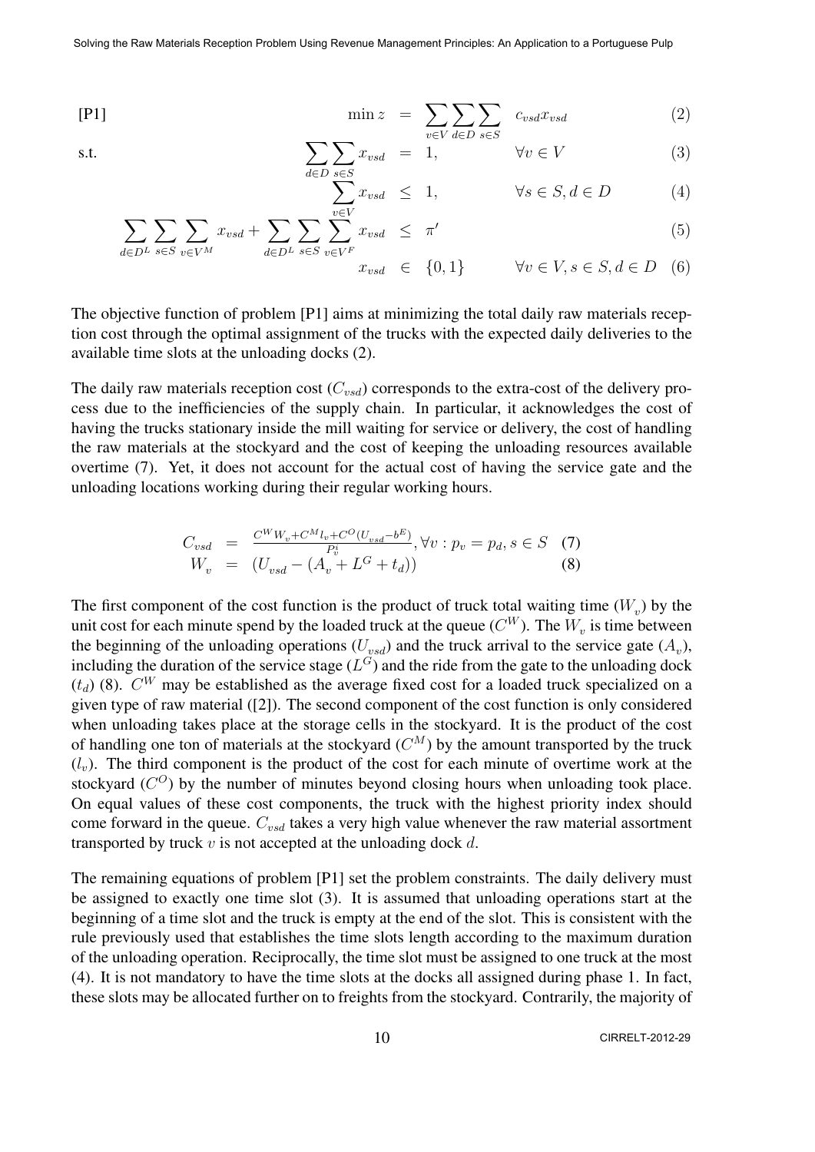$$
[P1] \qquad \qquad \min z = \sum_{v \in V} \sum_{d \in D} \sum_{s \in S} c_{vsd} x_{vsd} \qquad (2)
$$

s.t. 
$$
\sum_{d \in D} \sum_{s \in S} x_{vsd} = 1, \qquad \forall v \in V
$$
 (3)

$$
\sum_{v \in V}^{s \in S} x_{vsd} \leq 1, \qquad \forall s \in S, d \in D \tag{4}
$$

$$
\sum_{d \in D^L} \sum_{s \in S} \sum_{v \in V^M} x_{vsd} + \sum_{d \in D^L} \sum_{s \in S} \sum_{v \in V^F} \sum_{v \in d} x_{vsd} \leq \pi' \tag{5}
$$

$$
x_{vsd} \in \{0, 1\} \qquad \forall v \in V, s \in S, d \in D \quad (6)
$$

The objective function of problem [P1] aims at minimizing the total daily raw materials reception cost through the optimal assignment of the trucks with the expected daily deliveries to the available time slots at the unloading docks (2).

The daily raw materials reception cost (*Cvsd*) corresponds to the extra-cost of the delivery process due to the inefficiencies of the supply chain. In particular, it acknowledges the cost of having the trucks stationary inside the mill waiting for service or delivery, the cost of handling the raw materials at the stockyard and the cost of keeping the unloading resources available overtime (7). Yet, it does not account for the actual cost of having the service gate and the unloading locations working during their regular working hours.

$$
C_{vsd} = \frac{C^{W}W_{v} + C^{M}l_{v} + C^{O}(U_{vsd} - b^{E})}{P_{v}^{i}}, \forall v : p_{v} = p_{d}, s \in S \quad (7)
$$
  

$$
W_{v} = (U_{vsd} - (A_{v} + L^{G} + t_{d})) \quad (8)
$$

The first component of the cost function is the product of truck total waiting time  $(W_v)$  by the unit cost for each minute spend by the loaded truck at the queue  $(C^W)$ . The  $W_v$  is time between the beginning of the unloading operations  $(U_{\nu sd})$  and the truck arrival to the service gate  $(A_{\nu})$ , including the duration of the service stage  $(L^G)$  and the ride from the gate to the unloading dock  $(t_d)$  (8).  $C^W$  may be established as the average fixed cost for a loaded truck specialized on a given type of raw material ([2]). The second component of the cost function is only considered when unloading takes place at the storage cells in the stockyard. It is the product of the cost of handling one ton of materials at the stockyard  $(C^M)$  by the amount transported by the truck  $(l<sub>v</sub>)$ . The third component is the product of the cost for each minute of overtime work at the stockyard  $(C<sup>O</sup>)$  by the number of minutes beyond closing hours when unloading took place. On equal values of these cost components, the truck with the highest priority index should come forward in the queue. *Cvsd* takes a very high value whenever the raw material assortment transported by truck *v* is not accepted at the unloading dock *d*.

The remaining equations of problem [P1] set the problem constraints. The daily delivery must be assigned to exactly one time slot (3). It is assumed that unloading operations start at the beginning of a time slot and the truck is empty at the end of the slot. This is consistent with the rule previously used that establishes the time slots length according to the maximum duration of the unloading operation. Reciprocally, the time slot must be assigned to one truck at the most (4). It is not mandatory to have the time slots at the docks all assigned during phase 1. In fact, these slots may be allocated further on to freights from the stockyard. Contrarily, the majority of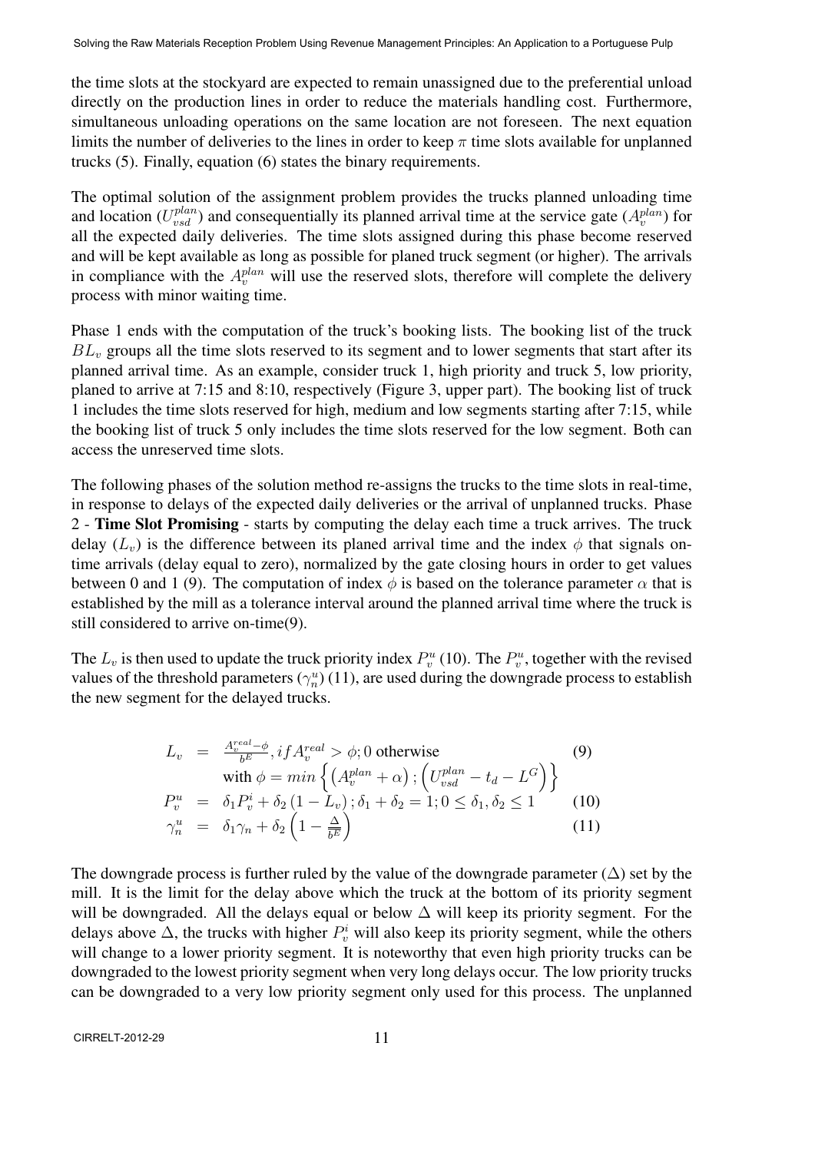the time slots at the stockyard are expected to remain unassigned due to the preferential unload directly on the production lines in order to reduce the materials handling cost. Furthermore, simultaneous unloading operations on the same location are not foreseen. The next equation limits the number of deliveries to the lines in order to keep *π* time slots available for unplanned trucks (5). Finally, equation (6) states the binary requirements.

The optimal solution of the assignment problem provides the trucks planned unloading time and location ( $U_{\text{vsd}}^{\text{plan}}$ ) and consequentially its planned arrival time at the service gate ( $A_{\text{v}}^{\text{plan}}$ ) for all the expected daily deliveries. The time slots assigned during this phase become reserved and will be kept available as long as possible for planed truck segment (or higher). The arrivals in compliance with the  $A_v^{plan}$  will use the reserved slots, therefore will complete the delivery process with minor waiting time.

Phase 1 ends with the computation of the truck's booking lists. The booking list of the truck *BL<sup>v</sup>* groups all the time slots reserved to its segment and to lower segments that start after its planned arrival time. As an example, consider truck 1, high priority and truck 5, low priority, planed to arrive at 7:15 and 8:10, respectively (Figure 3, upper part). The booking list of truck 1 includes the time slots reserved for high, medium and low segments starting after 7:15, while the booking list of truck 5 only includes the time slots reserved for the low segment. Both can access the unreserved time slots.

The following phases of the solution method re-assigns the trucks to the time slots in real-time, in response to delays of the expected daily deliveries or the arrival of unplanned trucks. Phase 2 - Time Slot Promising - starts by computing the delay each time a truck arrives. The truck delay ( $L_v$ ) is the difference between its planed arrival time and the index  $\phi$  that signals ontime arrivals (delay equal to zero), normalized by the gate closing hours in order to get values between 0 and 1 (9). The computation of index  $\phi$  is based on the tolerance parameter  $\alpha$  that is established by the mill as a tolerance interval around the planned arrival time where the truck is still considered to arrive on-time(9).

The  $L_v$  is then used to update the truck priority index  $P_v^u$  (10). The  $P_v^u$ , together with the revised values of the threshold parameters ( $\gamma_n^u$ ) (11), are used during the downgrade process to establish the new segment for the delayed trucks.

$$
L_v = \frac{A_v^{real} - \phi}{b^E}, if A_v^{real} > \phi; 0 \text{ otherwise}
$$
\n
$$
\text{with } \phi = \min\left\{ \left( A_v^{plan} + \alpha \right) ; \left( U_{vsd}^{plan} - t_d - L^G \right) \right\}
$$
\n
$$
P_v^u = \delta_1 P_v^i + \delta_2 (1 - L_v) ; \delta_1 + \delta_2 = 1; 0 \le \delta_1, \delta_2 \le 1
$$
\n
$$
\gamma_n^u = \delta_1 \gamma_n + \delta_2 \left( 1 - \frac{\Delta}{b^E} \right)
$$
\n
$$
(11)
$$

The downgrade process is further ruled by the value of the downgrade parameter  $(\Delta)$  set by the mill. It is the limit for the delay above which the truck at the bottom of its priority segment will be downgraded. All the delays equal or below  $\Delta$  will keep its priority segment. For the delays above  $\Delta$ , the trucks with higher  $P_v^i$  will also keep its priority segment, while the others will change to a lower priority segment. It is noteworthy that even high priority trucks can be downgraded to the lowest priority segment when very long delays occur. The low priority trucks can be downgraded to a very low priority segment only used for this process. The unplanned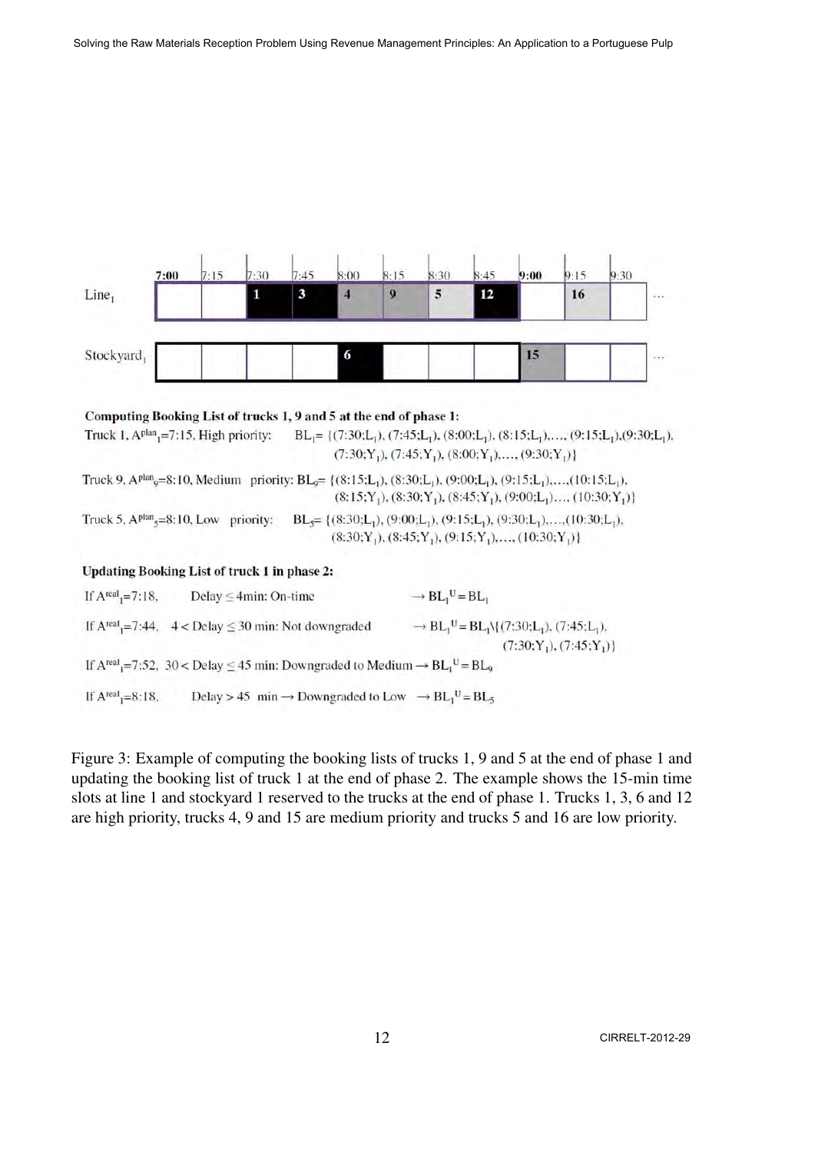

#### Computing Booking List of trucks 1, 9 and 5 at the end of phase 1: Truck 1,  $A<sup>plan</sup><sub>1</sub>=7:15$ , High priority:  $BL_1 = \{(7:30; L_1), (7:45; L_1), (8:00; L_1), (8:15; L_1), \ldots, (9:15; L_1), (9:30; L_1),$  $(7:30; Y_1), (7:45; Y_1), (8:00; Y_1), \ldots, (9:30; Y_1)$ Truck 9, A<sup>plan</sup><sub>9</sub>=8:10, Medium priority:  $BL_9$ = {(8:15;L<sub>1</sub>), (8:30;L<sub>1</sub>), (9:00;L<sub>1</sub>), (9:15;L<sub>1</sub>),...,(10:15;L<sub>1</sub>),  $(8:15; Y_1), (8:30; Y_1), (8:45; Y_1), (9:00; L_1), \ldots, (10:30; Y_1)$ Truck 5,  $A<sup>plan</sup><sub>5</sub>=8:10$ , Low priority:  $BL<sub>5</sub> = \{(8:30; L<sub>1</sub>), (9:00; L<sub>1</sub>), (9:15; L<sub>1</sub>), (9:30; L<sub>1</sub>),..., (10:30; L<sub>1</sub>),$  $(8:30; Y_1), (8:45; Y_1), (9:15; Y_1), \ldots, (10:30; Y_1)$ **Updating Booking List of truck 1 in phase 2:** If  $A<sup>real</sup> = 7:18$ . Delay < 4min: On-time  $\rightarrow$  BL<sub>1</sub><sup>U</sup> = BL<sub>1</sub>

If  $A^{real} = 7:44$ ,  $4 <$  Delay  $\leq 30$  min: Not downgraded  $\rightarrow$  BL<sub>1</sub><sup>U</sup> = BL<sub>1</sub>\{(7:30;L<sub>1</sub>), (7:45;L<sub>1</sub>),  $(7:30; Y_1), (7:45; Y_1)$ If  $A^{real} = 7:52$ , 30 < Delay  $\leq 45$  min: Downgraded to Medium  $\rightarrow BL_1^U = BL_9$ Delay > 45 min  $\rightarrow$  Downgraded to Low  $\rightarrow$  BL<sub>1</sub><sup>U</sup> = BL<sub>5</sub> If  $A<sup>real</sup><sub>1</sub>=8:18$ ,

Figure 3: Example of computing the booking lists of trucks 1, 9 and 5 at the end of phase 1 and updating the booking list of truck 1 at the end of phase 2. The example shows the 15-min time slots at line 1 and stockyard 1 reserved to the trucks at the end of phase 1. Trucks 1, 3, 6 and 12 are high priority, trucks 4, 9 and 15 are medium priority and trucks 5 and 16 are low priority.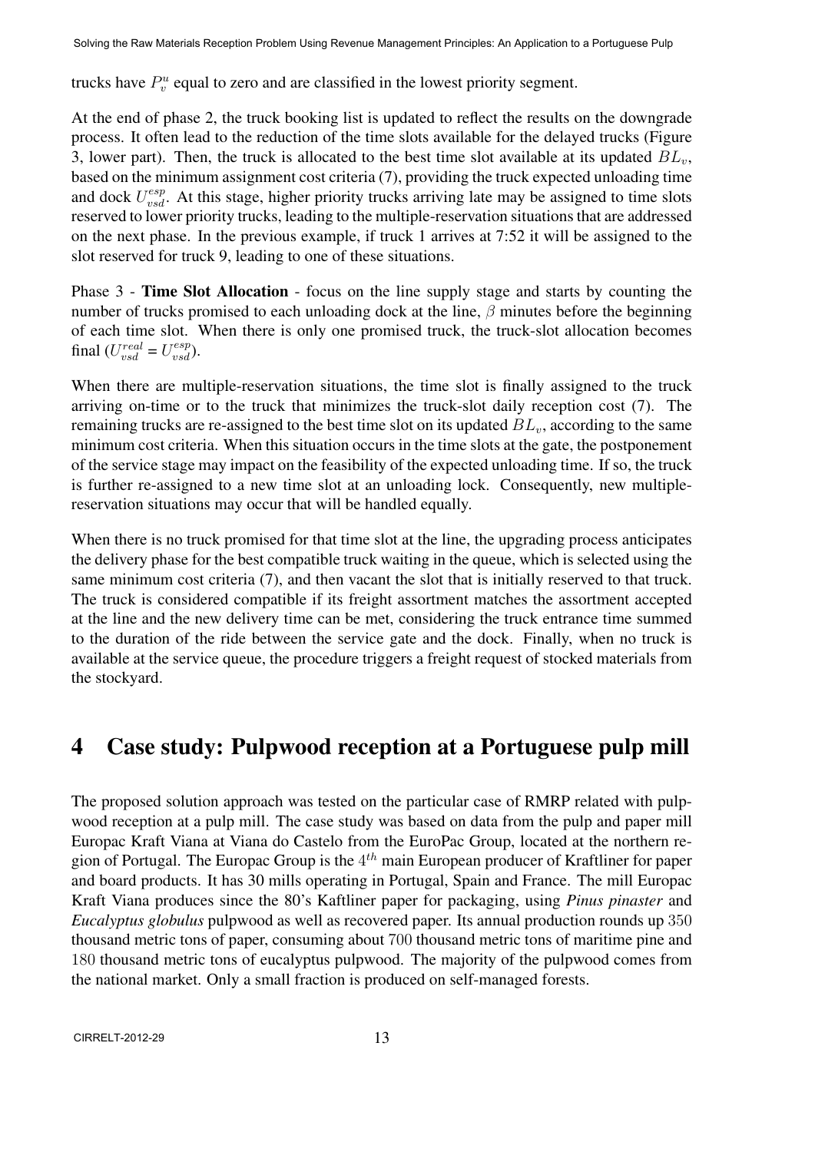trucks have  $P_v^u$  equal to zero and are classified in the lowest priority segment.

At the end of phase 2, the truck booking list is updated to reflect the results on the downgrade process. It often lead to the reduction of the time slots available for the delayed trucks (Figure 3, lower part). Then, the truck is allocated to the best time slot available at its updated  $BL<sub>v</sub>$ , based on the minimum assignment cost criteria (7), providing the truck expected unloading time and dock  $U_{\text{vsd}}^{\text{esp}}$ . At this stage, higher priority trucks arriving late may be assigned to time slots reserved to lower priority trucks, leading to the multiple-reservation situations that are addressed on the next phase. In the previous example, if truck 1 arrives at 7:52 it will be assigned to the slot reserved for truck 9, leading to one of these situations.

Phase 3 - Time Slot Allocation - focus on the line supply stage and starts by counting the number of trucks promised to each unloading dock at the line, *β* minutes before the beginning of each time slot. When there is only one promised truck, the truck-slot allocation becomes final  $(U_{vsd}^{real} = U_{vsd}^{esp})$ .

When there are multiple-reservation situations, the time slot is finally assigned to the truck arriving on-time or to the truck that minimizes the truck-slot daily reception cost (7). The remaining trucks are re-assigned to the best time slot on its updated *BLv*, according to the same minimum cost criteria. When this situation occurs in the time slots at the gate, the postponement of the service stage may impact on the feasibility of the expected unloading time. If so, the truck is further re-assigned to a new time slot at an unloading lock. Consequently, new multiplereservation situations may occur that will be handled equally.

When there is no truck promised for that time slot at the line, the upgrading process anticipates the delivery phase for the best compatible truck waiting in the queue, which is selected using the same minimum cost criteria (7), and then vacant the slot that is initially reserved to that truck. The truck is considered compatible if its freight assortment matches the assortment accepted at the line and the new delivery time can be met, considering the truck entrance time summed to the duration of the ride between the service gate and the dock. Finally, when no truck is available at the service queue, the procedure triggers a freight request of stocked materials from the stockyard.

## 4 Case study: Pulpwood reception at a Portuguese pulp mill

The proposed solution approach was tested on the particular case of RMRP related with pulpwood reception at a pulp mill. The case study was based on data from the pulp and paper mill Europac Kraft Viana at Viana do Castelo from the EuroPac Group, located at the northern region of Portugal. The Europac Group is the 4 *th* main European producer of Kraftliner for paper and board products. It has 30 mills operating in Portugal, Spain and France. The mill Europac Kraft Viana produces since the 80's Kaftliner paper for packaging, using *Pinus pinaster* and *Eucalyptus globulus* pulpwood as well as recovered paper. Its annual production rounds up 350 thousand metric tons of paper, consuming about 700 thousand metric tons of maritime pine and 180 thousand metric tons of eucalyptus pulpwood. The majority of the pulpwood comes from the national market. Only a small fraction is produced on self-managed forests.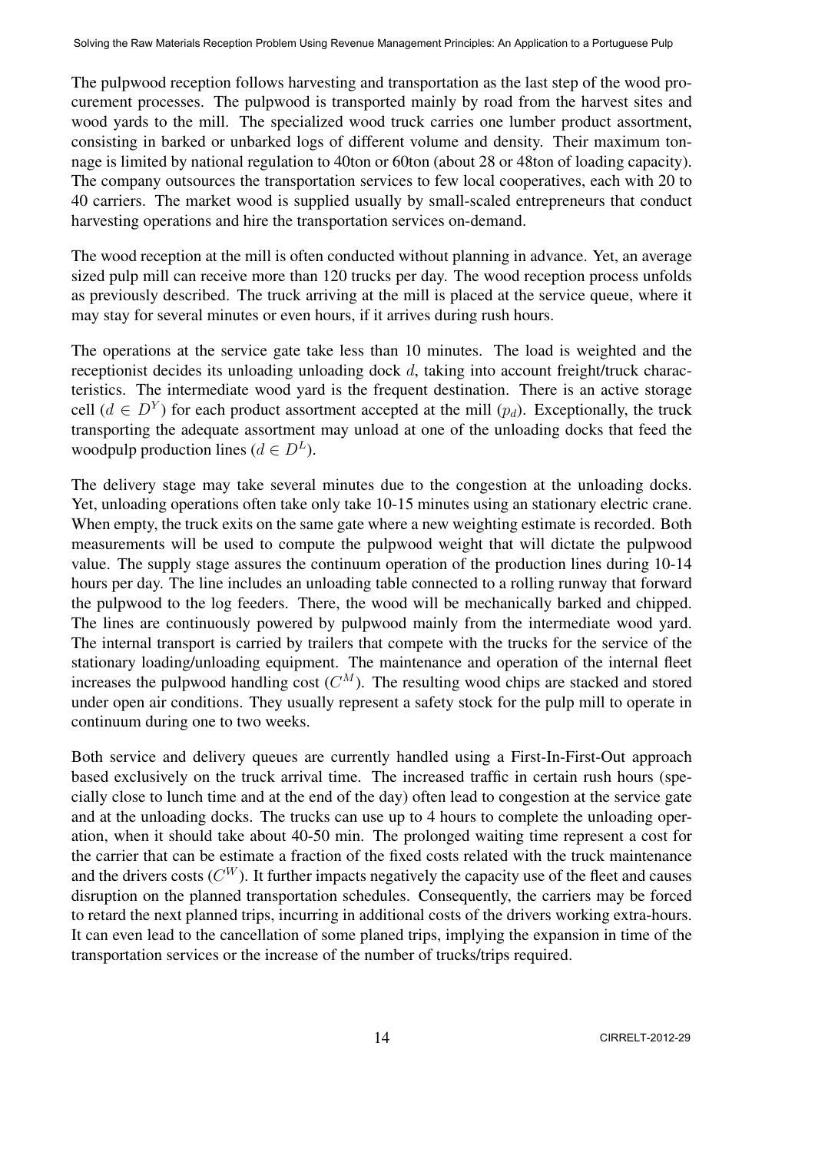The pulpwood reception follows harvesting and transportation as the last step of the wood procurement processes. The pulpwood is transported mainly by road from the harvest sites and wood yards to the mill. The specialized wood truck carries one lumber product assortment, consisting in barked or unbarked logs of different volume and density. Their maximum tonnage is limited by national regulation to 40ton or 60ton (about 28 or 48ton of loading capacity). The company outsources the transportation services to few local cooperatives, each with 20 to 40 carriers. The market wood is supplied usually by small-scaled entrepreneurs that conduct harvesting operations and hire the transportation services on-demand.

The wood reception at the mill is often conducted without planning in advance. Yet, an average sized pulp mill can receive more than 120 trucks per day. The wood reception process unfolds as previously described. The truck arriving at the mill is placed at the service queue, where it may stay for several minutes or even hours, if it arrives during rush hours.

The operations at the service gate take less than 10 minutes. The load is weighted and the receptionist decides its unloading unloading dock *d*, taking into account freight/truck characteristics. The intermediate wood yard is the frequent destination. There is an active storage cell ( $d \in D^Y$ ) for each product assortment accepted at the mill  $(p_d)$ . Exceptionally, the truck transporting the adequate assortment may unload at one of the unloading docks that feed the woodpulp production lines ( $d \in D^L$ ).

The delivery stage may take several minutes due to the congestion at the unloading docks. Yet, unloading operations often take only take 10-15 minutes using an stationary electric crane. When empty, the truck exits on the same gate where a new weighting estimate is recorded. Both measurements will be used to compute the pulpwood weight that will dictate the pulpwood value. The supply stage assures the continuum operation of the production lines during 10-14 hours per day. The line includes an unloading table connected to a rolling runway that forward the pulpwood to the log feeders. There, the wood will be mechanically barked and chipped. The lines are continuously powered by pulpwood mainly from the intermediate wood yard. The internal transport is carried by trailers that compete with the trucks for the service of the stationary loading/unloading equipment. The maintenance and operation of the internal fleet increases the pulpwood handling cost  $(C^M)$ . The resulting wood chips are stacked and stored under open air conditions. They usually represent a safety stock for the pulp mill to operate in continuum during one to two weeks.

Both service and delivery queues are currently handled using a First-In-First-Out approach based exclusively on the truck arrival time. The increased traffic in certain rush hours (specially close to lunch time and at the end of the day) often lead to congestion at the service gate and at the unloading docks. The trucks can use up to 4 hours to complete the unloading operation, when it should take about 40-50 min. The prolonged waiting time represent a cost for the carrier that can be estimate a fraction of the fixed costs related with the truck maintenance and the drivers costs  $(C^W)$ . It further impacts negatively the capacity use of the fleet and causes disruption on the planned transportation schedules. Consequently, the carriers may be forced to retard the next planned trips, incurring in additional costs of the drivers working extra-hours. It can even lead to the cancellation of some planed trips, implying the expansion in time of the transportation services or the increase of the number of trucks/trips required.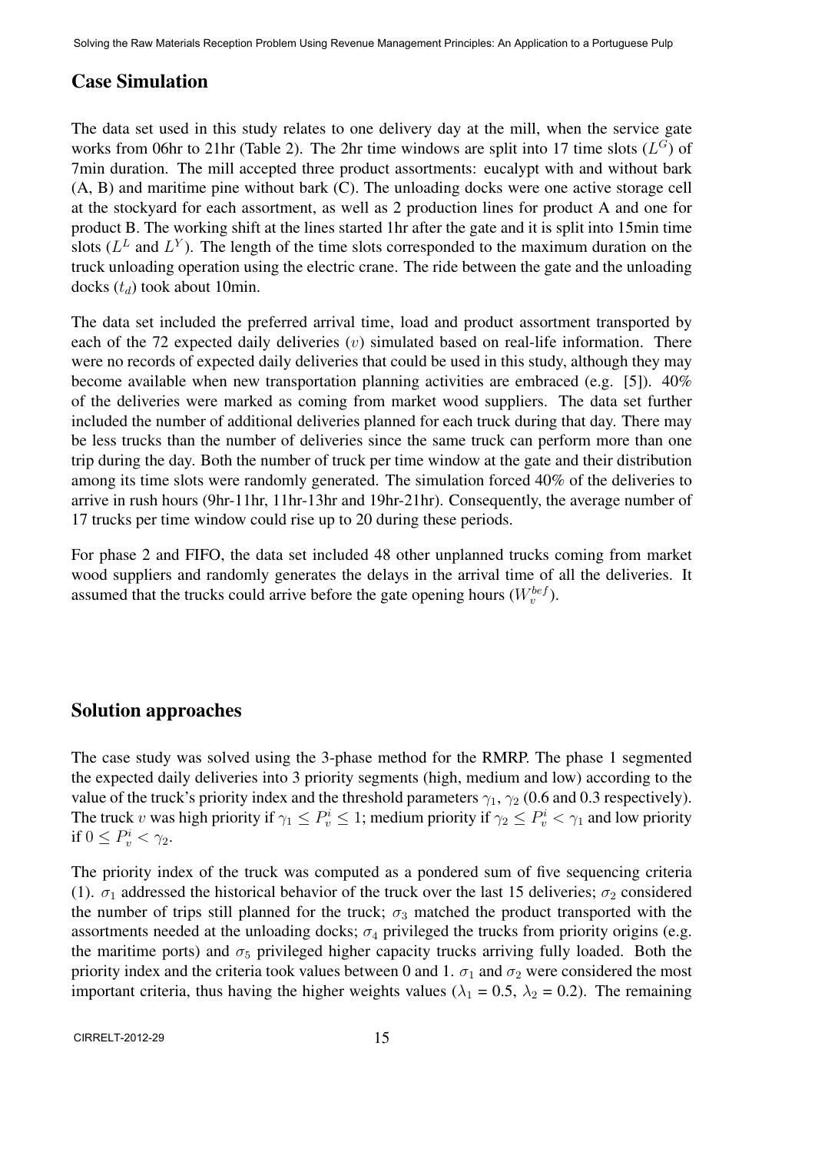#### Case Simulation

The data set used in this study relates to one delivery day at the mill, when the service gate works from 06hr to 21hr (Table 2). The 2hr time windows are split into 17 time slots  $(L^G)$  of 7min duration. The mill accepted three product assortments: eucalypt with and without bark (A, B) and maritime pine without bark (C). The unloading docks were one active storage cell at the stockyard for each assortment, as well as 2 production lines for product A and one for product B. The working shift at the lines started 1hr after the gate and it is split into 15min time slots  $(L^L$  and  $L^Y$ ). The length of the time slots corresponded to the maximum duration on the truck unloading operation using the electric crane. The ride between the gate and the unloading docks (*td*) took about 10min.

The data set included the preferred arrival time, load and product assortment transported by each of the 72 expected daily deliveries (*v*) simulated based on real-life information. There were no records of expected daily deliveries that could be used in this study, although they may become available when new transportation planning activities are embraced (e.g. [5]). 40% of the deliveries were marked as coming from market wood suppliers. The data set further included the number of additional deliveries planned for each truck during that day. There may be less trucks than the number of deliveries since the same truck can perform more than one trip during the day. Both the number of truck per time window at the gate and their distribution among its time slots were randomly generated. The simulation forced 40% of the deliveries to arrive in rush hours (9hr-11hr, 11hr-13hr and 19hr-21hr). Consequently, the average number of 17 trucks per time window could rise up to 20 during these periods.

For phase 2 and FIFO, the data set included 48 other unplanned trucks coming from market wood suppliers and randomly generates the delays in the arrival time of all the deliveries. It assumed that the trucks could arrive before the gate opening hours  $(W_v^{bef})$ .

#### Solution approaches

The case study was solved using the 3-phase method for the RMRP. The phase 1 segmented the expected daily deliveries into 3 priority segments (high, medium and low) according to the value of the truck's priority index and the threshold parameters *γ*1, *γ*<sup>2</sup> (0.6 and 0.3 respectively). The truck *v* was high priority if  $\gamma_1 \le P_v^i \le 1$ ; medium priority if  $\gamma_2 \le P_v^i < \gamma_1$  and low priority if  $0 \leq P_v^i < \gamma_2$ .

The priority index of the truck was computed as a pondered sum of five sequencing criteria (1).  $\sigma_1$  addressed the historical behavior of the truck over the last 15 deliveries;  $\sigma_2$  considered the number of trips still planned for the truck;  $\sigma_3$  matched the product transported with the assortments needed at the unloading docks;  $\sigma_4$  privileged the trucks from priority origins (e.g. the maritime ports) and  $\sigma_5$  privileged higher capacity trucks arriving fully loaded. Both the priority index and the criteria took values between 0 and 1.  $\sigma_1$  and  $\sigma_2$  were considered the most important criteria, thus having the higher weights values ( $\lambda_1 = 0.5$ ,  $\lambda_2 = 0.2$ ). The remaining

CIRRELT-2012-29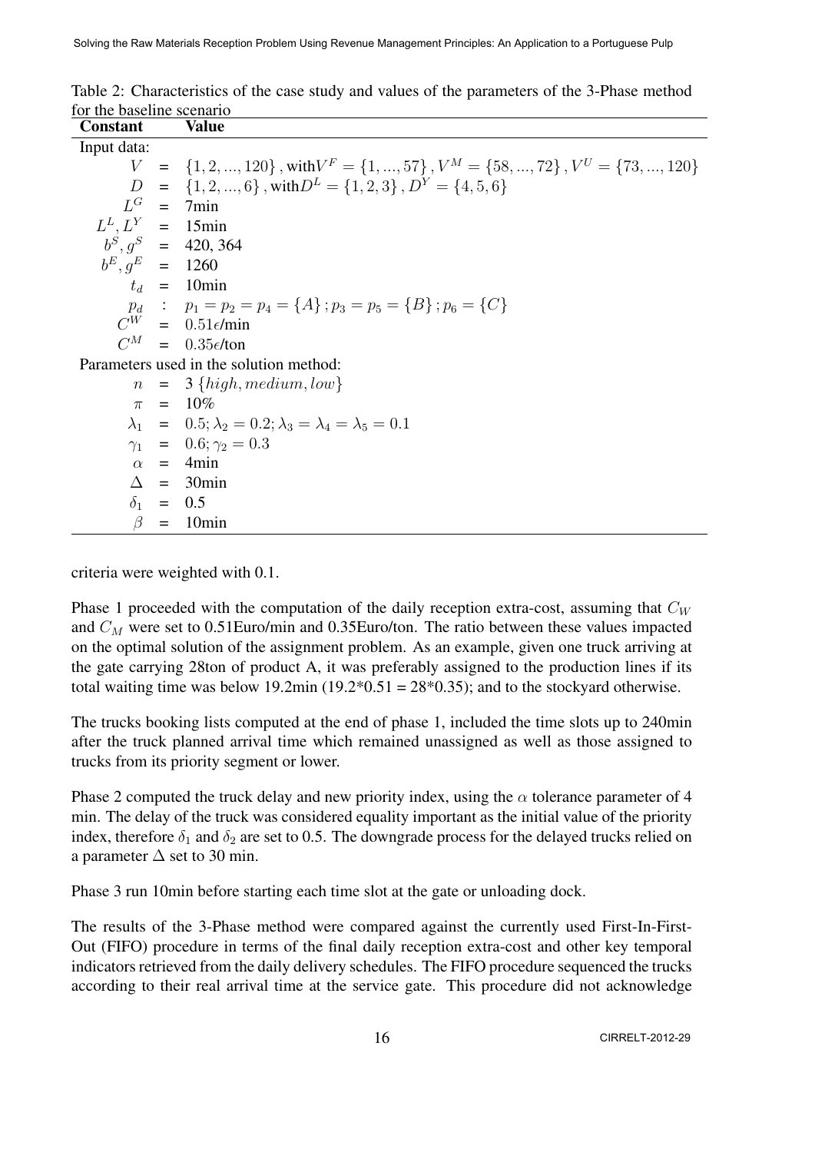| <b>Constant</b>       | <b>Value</b>                                                                                    |
|-----------------------|-------------------------------------------------------------------------------------------------|
| Input data:           |                                                                                                 |
|                       | $V = \{1, 2, , 120\}$ , with $V^F = \{1, , 57\}$ , $V^M = \{58, , 72\}$ , $V^U = \{73, , 120\}$ |
|                       | $D = \{1, 2, , 6\}$ , with $D^L = \{1, 2, 3\}$ , $D^Y = \{4, 5, 6\}$                            |
|                       | $L^G$ = 7min                                                                                    |
| $L^L$ , $L^Y$ = 15min |                                                                                                 |
|                       | $b^S$ , $q^S$ = 420, 364                                                                        |
| $b^E, q^E = 1260$     |                                                                                                 |
|                       | $t_d$ = 10min                                                                                   |
|                       | $p_d$ : $p_1 = p_2 = p_4 = \{A\}$ ; $p_3 = p_5 = \{B\}$ ; $p_6 = \{C\}$                         |
|                       | $C^W = 0.51 \epsilon / \text{min}$                                                              |
|                       | $C^M$ = 0.35 $\epsilon$ /ton                                                                    |
|                       | Parameters used in the solution method:                                                         |
|                       | $n = 3$ {high, medium, low}                                                                     |
|                       | $\pi = 10\%$                                                                                    |
|                       | $\lambda_1 = 0.5; \lambda_2 = 0.2; \lambda_3 = \lambda_4 = \lambda_5 = 0.1$                     |
|                       | $\gamma_1 = 0.6; \gamma_2 = 0.3$                                                                |
|                       | $\alpha = 4$ min                                                                                |
|                       | $\Delta$ = 30min                                                                                |
|                       | $\delta_1 = 0.5$                                                                                |
| $\beta$               | $=$ 10 $\text{min}$                                                                             |

| Table 2: Characteristics of the case study and values of the parameters of the 3-Phase method |  |  |  |  |  |
|-----------------------------------------------------------------------------------------------|--|--|--|--|--|
| for the baseline scenario                                                                     |  |  |  |  |  |

criteria were weighted with 0.1.

Phase 1 proceeded with the computation of the daily reception extra-cost, assuming that  $C_W$ and *C<sup>M</sup>* were set to 0.51Euro/min and 0.35Euro/ton. The ratio between these values impacted on the optimal solution of the assignment problem. As an example, given one truck arriving at the gate carrying 28ton of product A, it was preferably assigned to the production lines if its total waiting time was below 19.2min (19.2 $*0.51 = 28*0.35$ ); and to the stockyard otherwise.

The trucks booking lists computed at the end of phase 1, included the time slots up to 240min after the truck planned arrival time which remained unassigned as well as those assigned to trucks from its priority segment or lower.

Phase 2 computed the truck delay and new priority index, using the *α* tolerance parameter of 4 min. The delay of the truck was considered equality important as the initial value of the priority index, therefore  $\delta_1$  and  $\delta_2$  are set to 0.5. The downgrade process for the delayed trucks relied on a parameter  $\Delta$  set to 30 min.

Phase 3 run 10min before starting each time slot at the gate or unloading dock.

The results of the 3-Phase method were compared against the currently used First-In-First-Out (FIFO) procedure in terms of the final daily reception extra-cost and other key temporal indicators retrieved from the daily delivery schedules. The FIFO procedure sequenced the trucks according to their real arrival time at the service gate. This procedure did not acknowledge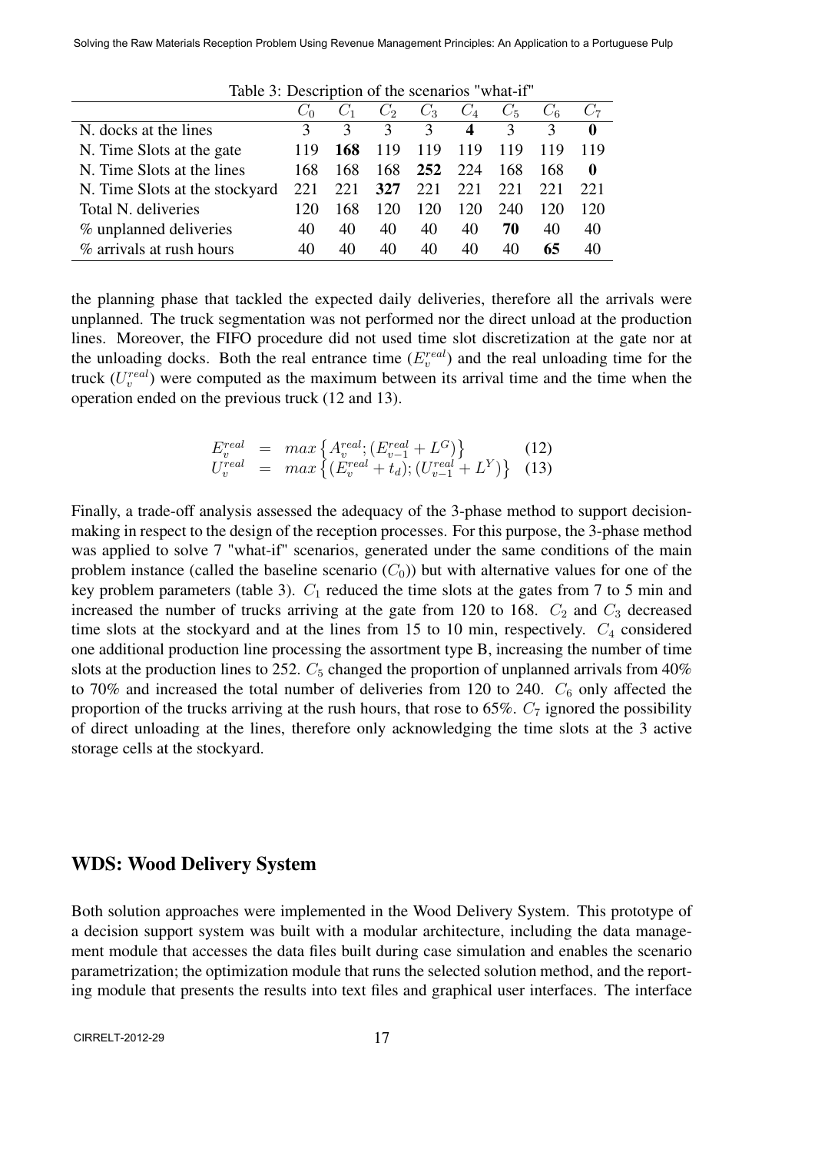|                                |               |     | $C_2$         | $C_3$         | $C_4$                      | $C_5$ |     |              |  |
|--------------------------------|---------------|-----|---------------|---------------|----------------------------|-------|-----|--------------|--|
| N. docks at the lines          | $\mathcal{F}$ |     | $\mathcal{R}$ | $\mathcal{E}$ | $\boldsymbol{\mathcal{A}}$ | 3     | 3   | $\mathbf 0$  |  |
| N. Time Slots at the gate      | 119           | 168 | 119           | 119           | 119                        | 119   | 119 | 119          |  |
| N. Time Slots at the lines     | 168           | 168 | 168           | 252           | 224                        | 168   | 168 | $\mathbf{0}$ |  |
| N. Time Slots at the stockyard | 221           | 221 | 327           |               | 221 221                    | 221   | 221 | 22.1         |  |
| Total N. deliveries            | 120           | 168 | 120           | 120           | 120                        | 240   | 120 | 120          |  |
| % unplanned deliveries         | 40            | 40  | 40            | 40            | 40                         | 70    | 40  | 40           |  |
| % arrivals at rush hours       | 40            | 40  | 40            | 40            | 40                         | 40    | 65  | 40           |  |

Table 3: Description of the scenarios "what-if"

the planning phase that tackled the expected daily deliveries, therefore all the arrivals were unplanned. The truck segmentation was not performed nor the direct unload at the production lines. Moreover, the FIFO procedure did not used time slot discretization at the gate nor at the unloading docks. Both the real entrance time  $(E_v^{real})$  and the real unloading time for the truck  $(U_v^{real})$  were computed as the maximum between its arrival time and the time when the operation ended on the previous truck (12 and 13).

$$
E_v^{real} = \max \left\{ A_v^{real}; (E_{v-1}^{real} + L^G) \right\} \qquad (12)
$$
  
\n
$$
U_v^{real} = \max \left\{ (E_v^{real} + t_d); (U_{v-1}^{real} + L^Y) \right\} \qquad (13)
$$

Finally, a trade-off analysis assessed the adequacy of the 3-phase method to support decisionmaking in respect to the design of the reception processes. For this purpose, the 3-phase method was applied to solve 7 "what-if" scenarios, generated under the same conditions of the main problem instance (called the baseline scenario  $(C_0)$ ) but with alternative values for one of the key problem parameters (table 3).  $C_1$  reduced the time slots at the gates from 7 to 5 min and increased the number of trucks arriving at the gate from 120 to 168.  $C_2$  and  $C_3$  decreased time slots at the stockyard and at the lines from 15 to 10 min, respectively.  $C_4$  considered one additional production line processing the assortment type B, increasing the number of time slots at the production lines to 252.  $C_5$  changed the proportion of unplanned arrivals from 40% to 70% and increased the total number of deliveries from 120 to 240.  $C_6$  only affected the proportion of the trucks arriving at the rush hours, that rose to 65%.  $C_7$  ignored the possibility of direct unloading at the lines, therefore only acknowledging the time slots at the 3 active storage cells at the stockyard.

#### WDS: Wood Delivery System

Both solution approaches were implemented in the Wood Delivery System. This prototype of a decision support system was built with a modular architecture, including the data management module that accesses the data files built during case simulation and enables the scenario parametrization; the optimization module that runs the selected solution method, and the reporting module that presents the results into text files and graphical user interfaces. The interface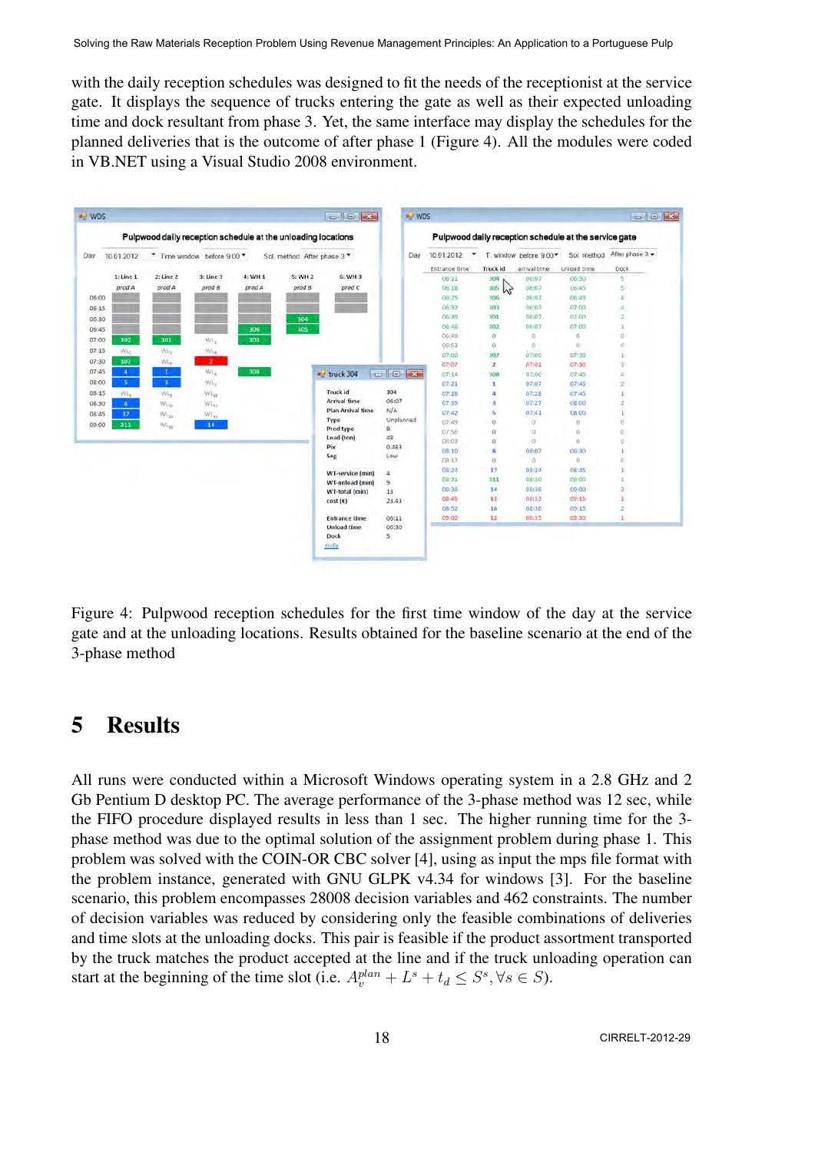with the daily reception schedules was designed to fit the needs of the receptionist at the service gate. It displays the sequence of trucks entering the gate as well as their expected unloading time and dock resultant from phase 3. Yet, the same interface may display the schedules for the planned deliveries that is the outcome of after phase 1 (Figure 4). All the modules were coded in VB.NET using a Visual Studio 2008 environment.



Figure 4: Pulpwood reception schedules for the first time window of the day at the service gate and at the unloading locations. Results obtained for the baseline scenario at the end of the 3-phase method

### 5 Results

All runs were conducted within a Microsoft Windows operating system in a 2.8 GHz and 2 Gb Pentium D desktop PC. The average performance of the 3-phase method was 12 sec, while the FIFO procedure displayed results in less than 1 sec. The higher running time for the 3 phase method was due to the optimal solution of the assignment problem during phase 1. This problem was solved with the COIN-OR CBC solver [4], using as input the mps file format with the problem instance, generated with GNU GLPK v4.34 for windows [3]. For the baseline scenario, this problem encompasses 28008 decision variables and 462 constraints. The number of decision variables was reduced by considering only the feasible combinations of deliveries and time slots at the unloading docks. This pair is feasible if the product assortment transported by the truck matches the product accepted at the line and if the truck unloading operation can start at the beginning of the time slot (i.e.  $A_v^{plan} + L^s + t_d \leq S^s, \forall s \in S$ ).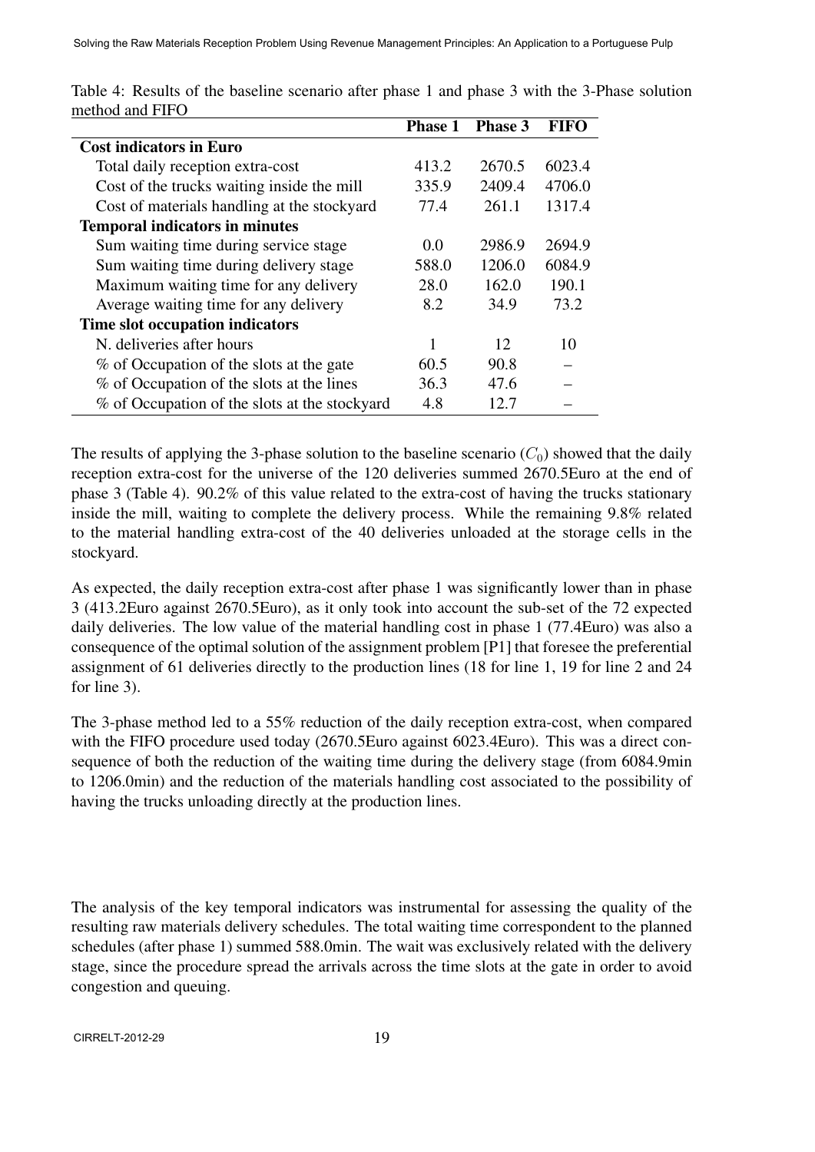|                                               | <b>Phase 1</b> | <b>Phase 3</b> | <b>FIFO</b> |
|-----------------------------------------------|----------------|----------------|-------------|
| <b>Cost indicators in Euro</b>                |                |                |             |
| Total daily reception extra-cost              | 413.2          | 2670.5         | 6023.4      |
| Cost of the trucks waiting inside the mill    | 335.9          | 2409.4         | 4706.0      |
| Cost of materials handling at the stockyard   | 77.4           | 261.1          | 1317.4      |
| <b>Temporal indicators in minutes</b>         |                |                |             |
| Sum waiting time during service stage         | 0.0            | 2986.9         | 2694.9      |
| Sum waiting time during delivery stage        | 588.0          | 1206.0         | 6084.9      |
| Maximum waiting time for any delivery         | 28.0           | 162.0          | 190.1       |
| Average waiting time for any delivery         | 8.2            | 34.9           | 73.2        |
| Time slot occupation indicators               |                |                |             |
| N. deliveries after hours                     |                | 12             | 10          |
| % of Occupation of the slots at the gate      | 60.5           | 90.8           |             |
| % of Occupation of the slots at the lines     | 36.3           | 47.6           |             |
| % of Occupation of the slots at the stockyard | 4.8            | 12.7           |             |

Table 4: Results of the baseline scenario after phase 1 and phase 3 with the 3-Phase solution method and FIFO

The results of applying the 3-phase solution to the baseline scenario  $(C_0)$  showed that the daily reception extra-cost for the universe of the 120 deliveries summed 2670.5Euro at the end of phase 3 (Table 4). 90.2% of this value related to the extra-cost of having the trucks stationary inside the mill, waiting to complete the delivery process. While the remaining 9.8% related to the material handling extra-cost of the 40 deliveries unloaded at the storage cells in the stockyard.

As expected, the daily reception extra-cost after phase 1 was significantly lower than in phase 3 (413.2Euro against 2670.5Euro), as it only took into account the sub-set of the 72 expected daily deliveries. The low value of the material handling cost in phase 1 (77.4Euro) was also a consequence of the optimal solution of the assignment problem [P1] that foresee the preferential assignment of 61 deliveries directly to the production lines (18 for line 1, 19 for line 2 and 24 for line 3).

The 3-phase method led to a 55% reduction of the daily reception extra-cost, when compared with the FIFO procedure used today (2670.5Euro against 6023.4Euro). This was a direct consequence of both the reduction of the waiting time during the delivery stage (from 6084.9min to 1206.0min) and the reduction of the materials handling cost associated to the possibility of having the trucks unloading directly at the production lines.

The analysis of the key temporal indicators was instrumental for assessing the quality of the resulting raw materials delivery schedules. The total waiting time correspondent to the planned schedules (after phase 1) summed 588.0min. The wait was exclusively related with the delivery stage, since the procedure spread the arrivals across the time slots at the gate in order to avoid congestion and queuing.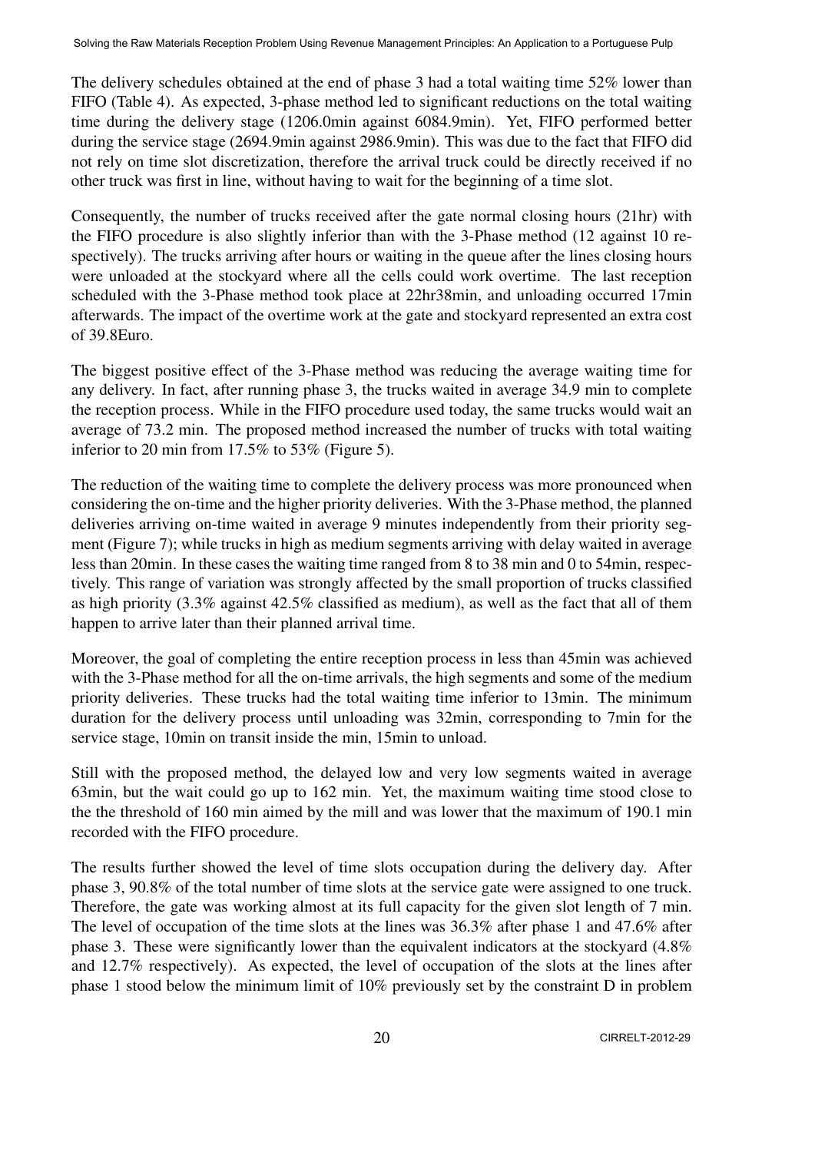The delivery schedules obtained at the end of phase 3 had a total waiting time 52% lower than FIFO (Table 4). As expected, 3-phase method led to significant reductions on the total waiting time during the delivery stage (1206.0min against 6084.9min). Yet, FIFO performed better during the service stage (2694.9min against 2986.9min). This was due to the fact that FIFO did not rely on time slot discretization, therefore the arrival truck could be directly received if no other truck was first in line, without having to wait for the beginning of a time slot.

Consequently, the number of trucks received after the gate normal closing hours (21hr) with the FIFO procedure is also slightly inferior than with the 3-Phase method (12 against 10 respectively). The trucks arriving after hours or waiting in the queue after the lines closing hours were unloaded at the stockyard where all the cells could work overtime. The last reception scheduled with the 3-Phase method took place at 22hr38min, and unloading occurred 17min afterwards. The impact of the overtime work at the gate and stockyard represented an extra cost of 39.8Euro.

The biggest positive effect of the 3-Phase method was reducing the average waiting time for any delivery. In fact, after running phase 3, the trucks waited in average 34.9 min to complete the reception process. While in the FIFO procedure used today, the same trucks would wait an average of 73.2 min. The proposed method increased the number of trucks with total waiting inferior to 20 min from 17.5% to 53% (Figure 5).

The reduction of the waiting time to complete the delivery process was more pronounced when considering the on-time and the higher priority deliveries. With the 3-Phase method, the planned deliveries arriving on-time waited in average 9 minutes independently from their priority segment (Figure 7); while trucks in high as medium segments arriving with delay waited in average less than 20min. In these cases the waiting time ranged from 8 to 38 min and 0 to 54min, respectively. This range of variation was strongly affected by the small proportion of trucks classified as high priority (3.3% against 42.5% classified as medium), as well as the fact that all of them happen to arrive later than their planned arrival time.

Moreover, the goal of completing the entire reception process in less than 45min was achieved with the 3-Phase method for all the on-time arrivals, the high segments and some of the medium priority deliveries. These trucks had the total waiting time inferior to 13min. The minimum duration for the delivery process until unloading was 32min, corresponding to 7min for the service stage, 10min on transit inside the min, 15min to unload.

Still with the proposed method, the delayed low and very low segments waited in average 63min, but the wait could go up to 162 min. Yet, the maximum waiting time stood close to the the threshold of 160 min aimed by the mill and was lower that the maximum of 190.1 min recorded with the FIFO procedure.

The results further showed the level of time slots occupation during the delivery day. After phase 3, 90.8% of the total number of time slots at the service gate were assigned to one truck. Therefore, the gate was working almost at its full capacity for the given slot length of 7 min. The level of occupation of the time slots at the lines was 36.3% after phase 1 and 47.6% after phase 3. These were significantly lower than the equivalent indicators at the stockyard (4.8% and 12.7% respectively). As expected, the level of occupation of the slots at the lines after phase 1 stood below the minimum limit of 10% previously set by the constraint D in problem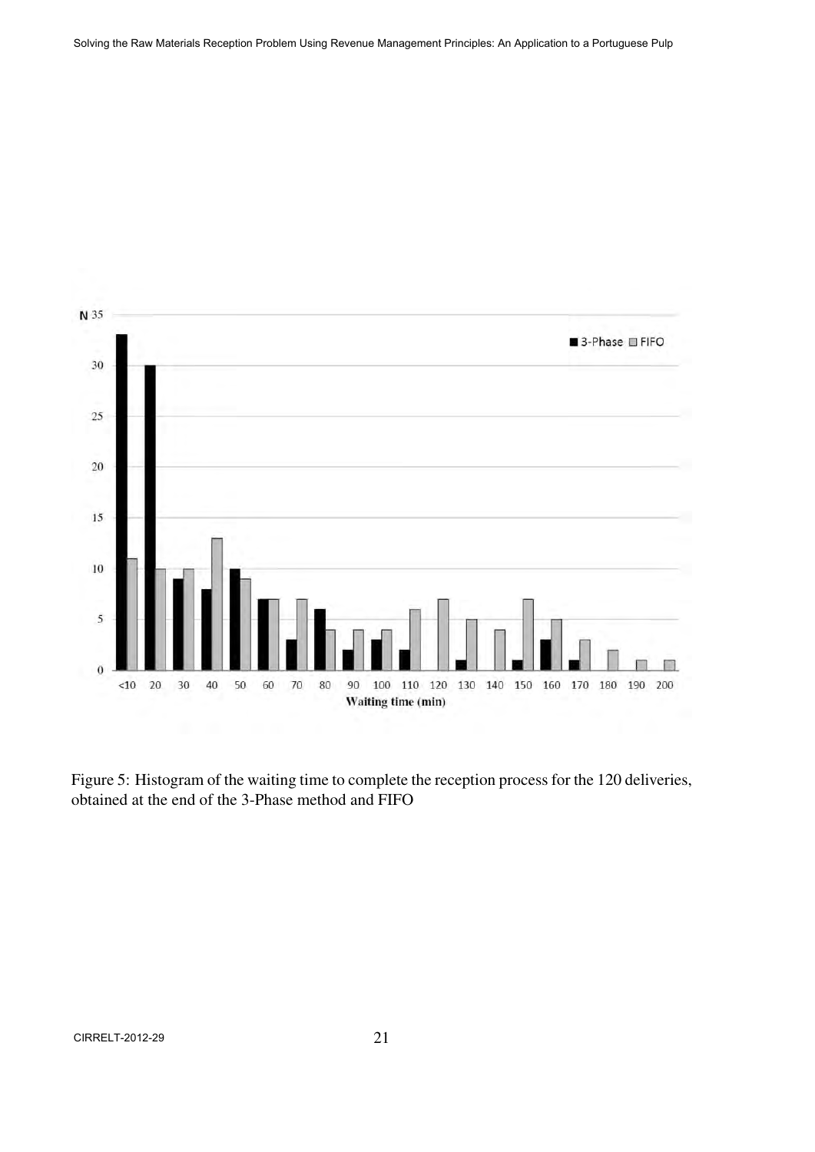

Figure 5: Histogram of the waiting time to complete the reception process for the 120 deliveries, obtained at the end of the 3-Phase method and FIFO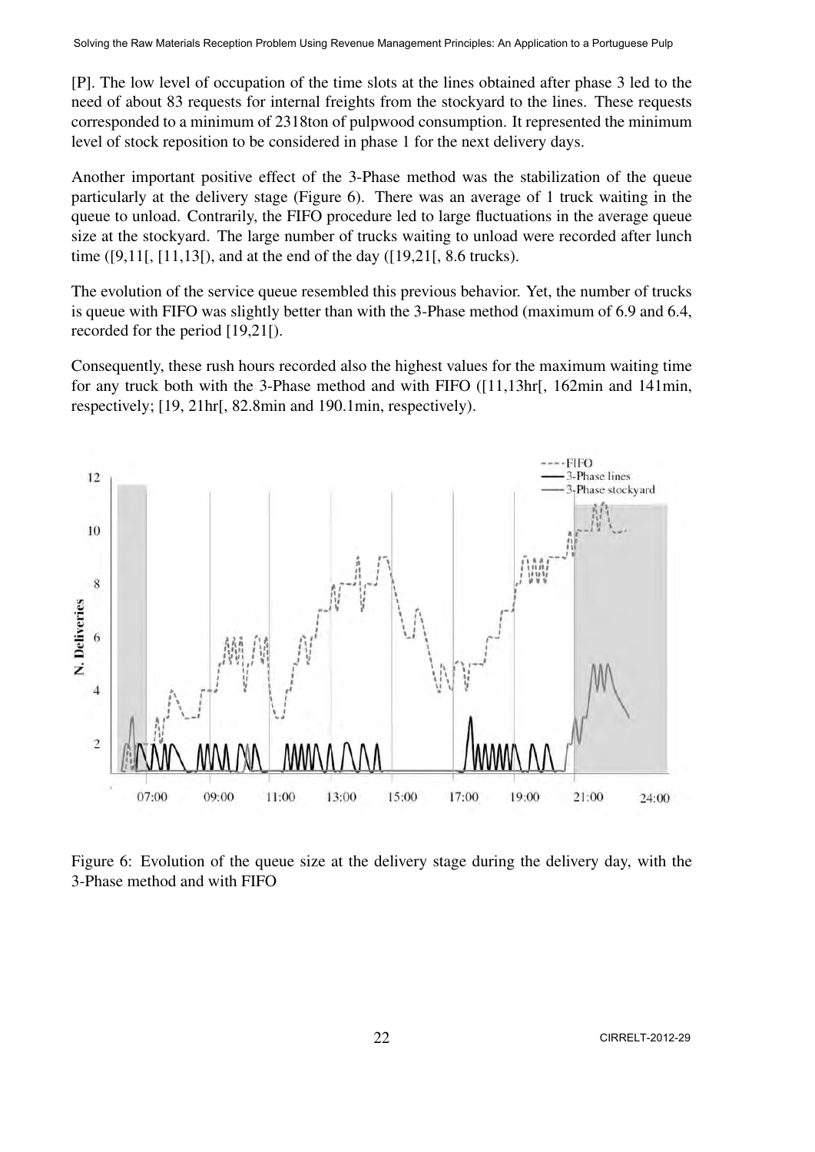[P]. The low level of occupation of the time slots at the lines obtained after phase 3 led to the need of about 83 requests for internal freights from the stockyard to the lines. These requests corresponded to a minimum of 2318ton of pulpwood consumption. It represented the minimum level of stock reposition to be considered in phase 1 for the next delivery days.

Another important positive effect of the 3-Phase method was the stabilization of the queue particularly at the delivery stage (Figure 6). There was an average of 1 truck waiting in the queue to unload. Contrarily, the FIFO procedure led to large fluctuations in the average queue size at the stockyard. The large number of trucks waiting to unload were recorded after lunch time ([9,11[, [11,13[), and at the end of the day ([19,21[, 8.6 trucks).

The evolution of the service queue resembled this previous behavior. Yet, the number of trucks is queue with FIFO was slightly better than with the 3-Phase method (maximum of 6.9 and 6.4, recorded for the period [19,21[).

Consequently, these rush hours recorded also the highest values for the maximum waiting time for any truck both with the 3-Phase method and with FIFO ([11,13hr[, 162min and 141min, respectively; [19, 21hr[, 82.8min and 190.1min, respectively).



Figure 6: Evolution of the queue size at the delivery stage during the delivery day, with the 3-Phase method and with FIFO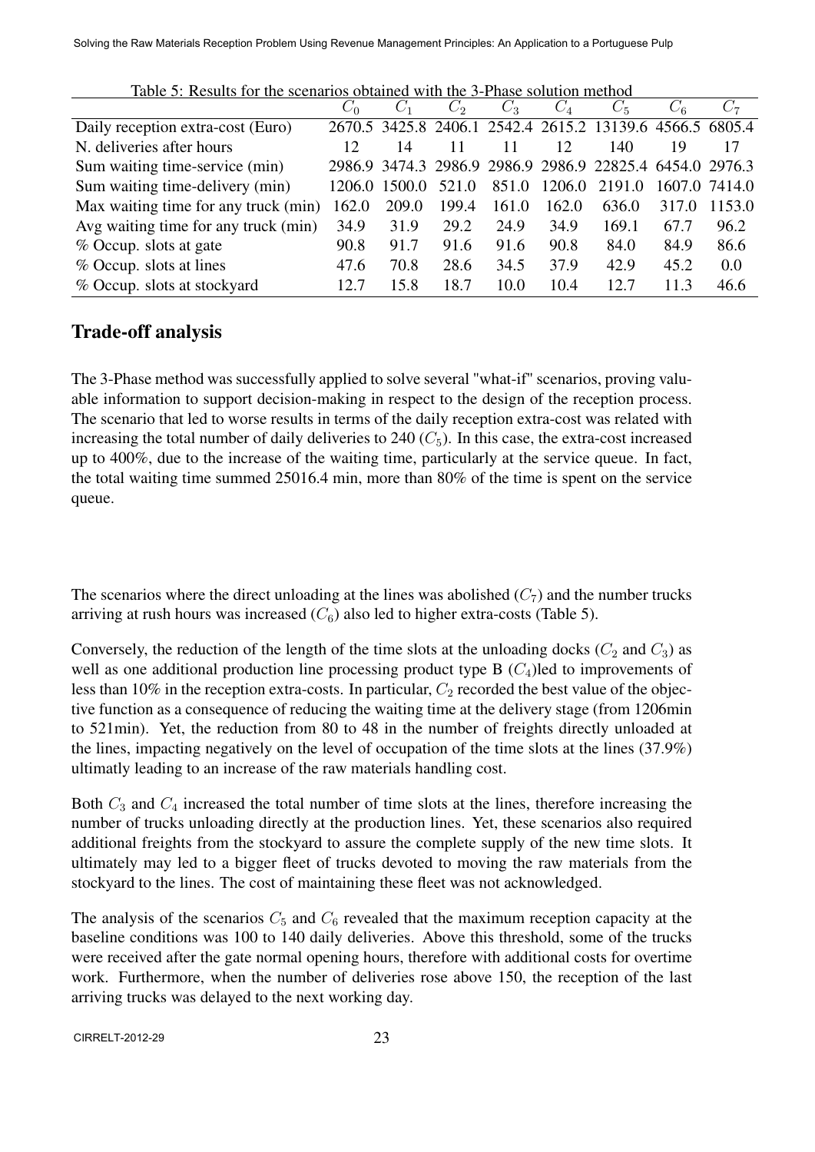|                                      | $C_0$  | $C_1$  | $C_2$ | $C_3$ | $C_4$  | $C_5$                                                    | $C_{6}$ | $C_7$         |
|--------------------------------------|--------|--------|-------|-------|--------|----------------------------------------------------------|---------|---------------|
| Daily reception extra-cost (Euro)    |        |        |       |       |        | 2670.5 3425.8 2406.1 2542.4 2615.2 13139.6 4566.5 6805.4 |         |               |
| N. deliveries after hours            | 12     | 14     |       | 11    | 12     | 140                                                      | 19      | 17            |
| Sum waiting time-service (min)       |        |        |       |       |        | 2986.9 3474.3 2986.9 2986.9 2986.9 22825.4 6454.0 2976.3 |         |               |
| Sum waiting time-delivery (min)      | 1206.0 | 1500.0 | 521.0 | 851.0 | 1206.0 | 2191.0                                                   |         | 1607.0 7414.0 |
| Max waiting time for any truck (min) | 162.0  | 209.0  | 199.4 | 161.0 | 162.0  | 636.0                                                    | 317.0   | 1153.0        |
| Avg waiting time for any truck (min) | 34.9   | 31.9   | 29.2  | 24.9  | 34.9   | 169.1                                                    | 67.7    | 96.2          |
| % Occup. slots at gate               | 90.8   | 91.7   | 91.6  | 91.6  | 90.8   | 84.0                                                     | 84.9    | 86.6          |
| % Occup. slots at lines              | 47.6   | 70.8   | 28.6  | 34.5  | 37.9   | 42.9                                                     | 45.2    | 0.0           |
| % Occup. slots at stockyard          | 12.7   | 15.8   | 18.7  | 10.0  | 10.4   | 12.7                                                     | 11.3    | 46.6          |

Table 5: Results for the scenarios obtained with the 3-Phase solution method

### Trade-off analysis

The 3-Phase method was successfully applied to solve several "what-if" scenarios, proving valuable information to support decision-making in respect to the design of the reception process. The scenario that led to worse results in terms of the daily reception extra-cost was related with increasing the total number of daily deliveries to  $240 \,(C_5)$ . In this case, the extra-cost increased up to 400%, due to the increase of the waiting time, particularly at the service queue. In fact, the total waiting time summed 25016.4 min, more than 80% of the time is spent on the service queue.

The scenarios where the direct unloading at the lines was abolished  $(C_7)$  and the number trucks arriving at rush hours was increased  $(C_6)$  also led to higher extra-costs (Table 5).

Conversely, the reduction of the length of the time slots at the unloading docks  $(C_2$  and  $C_3$ ) as well as one additional production line processing product type B  $(C_4)$ led to improvements of less than 10% in the reception extra-costs. In particular,  $C_2$  recorded the best value of the objective function as a consequence of reducing the waiting time at the delivery stage (from 1206min to 521min). Yet, the reduction from 80 to 48 in the number of freights directly unloaded at the lines, impacting negatively on the level of occupation of the time slots at the lines (37.9%) ultimatly leading to an increase of the raw materials handling cost.

Both *C*<sup>3</sup> and *C*<sup>4</sup> increased the total number of time slots at the lines, therefore increasing the number of trucks unloading directly at the production lines. Yet, these scenarios also required additional freights from the stockyard to assure the complete supply of the new time slots. It ultimately may led to a bigger fleet of trucks devoted to moving the raw materials from the stockyard to the lines. The cost of maintaining these fleet was not acknowledged.

The analysis of the scenarios  $C_5$  and  $C_6$  revealed that the maximum reception capacity at the baseline conditions was 100 to 140 daily deliveries. Above this threshold, some of the trucks were received after the gate normal opening hours, therefore with additional costs for overtime work. Furthermore, when the number of deliveries rose above 150, the reception of the last arriving trucks was delayed to the next working day.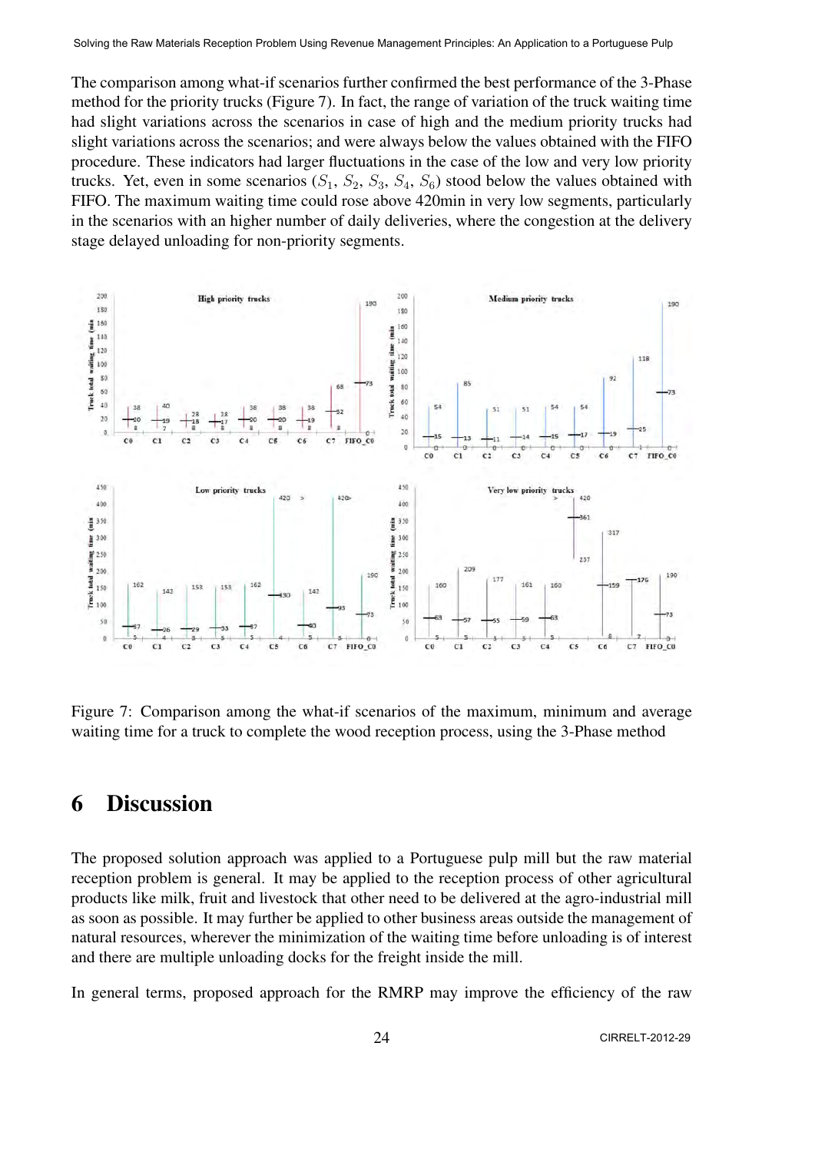The comparison among what-if scenarios further confirmed the best performance of the 3-Phase method for the priority trucks (Figure 7). In fact, the range of variation of the truck waiting time had slight variations across the scenarios in case of high and the medium priority trucks had slight variations across the scenarios; and were always below the values obtained with the FIFO procedure. These indicators had larger fluctuations in the case of the low and very low priority trucks. Yet, even in some scenarios  $(S_1, S_2, S_3, S_4, S_6)$  stood below the values obtained with FIFO. The maximum waiting time could rose above 420min in very low segments, particularly in the scenarios with an higher number of daily deliveries, where the congestion at the delivery stage delayed unloading for non-priority segments.



Figure 7: Comparison among the what-if scenarios of the maximum, minimum and average waiting time for a truck to complete the wood reception process, using the 3-Phase method

## 6 Discussion

The proposed solution approach was applied to a Portuguese pulp mill but the raw material reception problem is general. It may be applied to the reception process of other agricultural products like milk, fruit and livestock that other need to be delivered at the agro-industrial mill as soon as possible. It may further be applied to other business areas outside the management of natural resources, wherever the minimization of the waiting time before unloading is of interest and there are multiple unloading docks for the freight inside the mill.

In general terms, proposed approach for the RMRP may improve the efficiency of the raw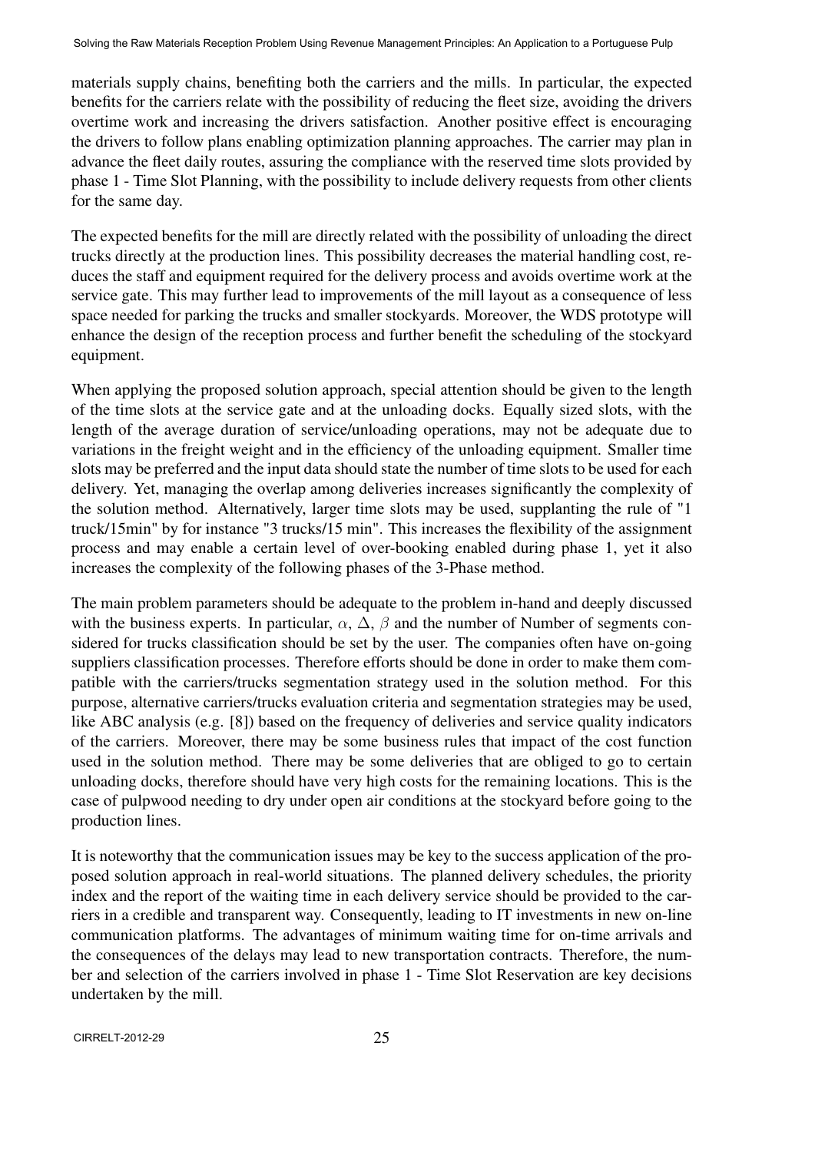materials supply chains, benefiting both the carriers and the mills. In particular, the expected benefits for the carriers relate with the possibility of reducing the fleet size, avoiding the drivers overtime work and increasing the drivers satisfaction. Another positive effect is encouraging the drivers to follow plans enabling optimization planning approaches. The carrier may plan in advance the fleet daily routes, assuring the compliance with the reserved time slots provided by phase 1 - Time Slot Planning, with the possibility to include delivery requests from other clients for the same day.

The expected benefits for the mill are directly related with the possibility of unloading the direct trucks directly at the production lines. This possibility decreases the material handling cost, reduces the staff and equipment required for the delivery process and avoids overtime work at the service gate. This may further lead to improvements of the mill layout as a consequence of less space needed for parking the trucks and smaller stockyards. Moreover, the WDS prototype will enhance the design of the reception process and further benefit the scheduling of the stockyard equipment.

When applying the proposed solution approach, special attention should be given to the length of the time slots at the service gate and at the unloading docks. Equally sized slots, with the length of the average duration of service/unloading operations, may not be adequate due to variations in the freight weight and in the efficiency of the unloading equipment. Smaller time slots may be preferred and the input data should state the number of time slots to be used for each delivery. Yet, managing the overlap among deliveries increases significantly the complexity of the solution method. Alternatively, larger time slots may be used, supplanting the rule of "1 truck/15min" by for instance "3 trucks/15 min". This increases the flexibility of the assignment process and may enable a certain level of over-booking enabled during phase 1, yet it also increases the complexity of the following phases of the 3-Phase method.

The main problem parameters should be adequate to the problem in-hand and deeply discussed with the business experts. In particular,  $\alpha$ ,  $\Delta$ ,  $\beta$  and the number of Number of segments considered for trucks classification should be set by the user. The companies often have on-going suppliers classification processes. Therefore efforts should be done in order to make them compatible with the carriers/trucks segmentation strategy used in the solution method. For this purpose, alternative carriers/trucks evaluation criteria and segmentation strategies may be used, like ABC analysis (e.g. [8]) based on the frequency of deliveries and service quality indicators of the carriers. Moreover, there may be some business rules that impact of the cost function used in the solution method. There may be some deliveries that are obliged to go to certain unloading docks, therefore should have very high costs for the remaining locations. This is the case of pulpwood needing to dry under open air conditions at the stockyard before going to the production lines.

It is noteworthy that the communication issues may be key to the success application of the proposed solution approach in real-world situations. The planned delivery schedules, the priority index and the report of the waiting time in each delivery service should be provided to the carriers in a credible and transparent way. Consequently, leading to IT investments in new on-line communication platforms. The advantages of minimum waiting time for on-time arrivals and the consequences of the delays may lead to new transportation contracts. Therefore, the number and selection of the carriers involved in phase 1 - Time Slot Reservation are key decisions undertaken by the mill.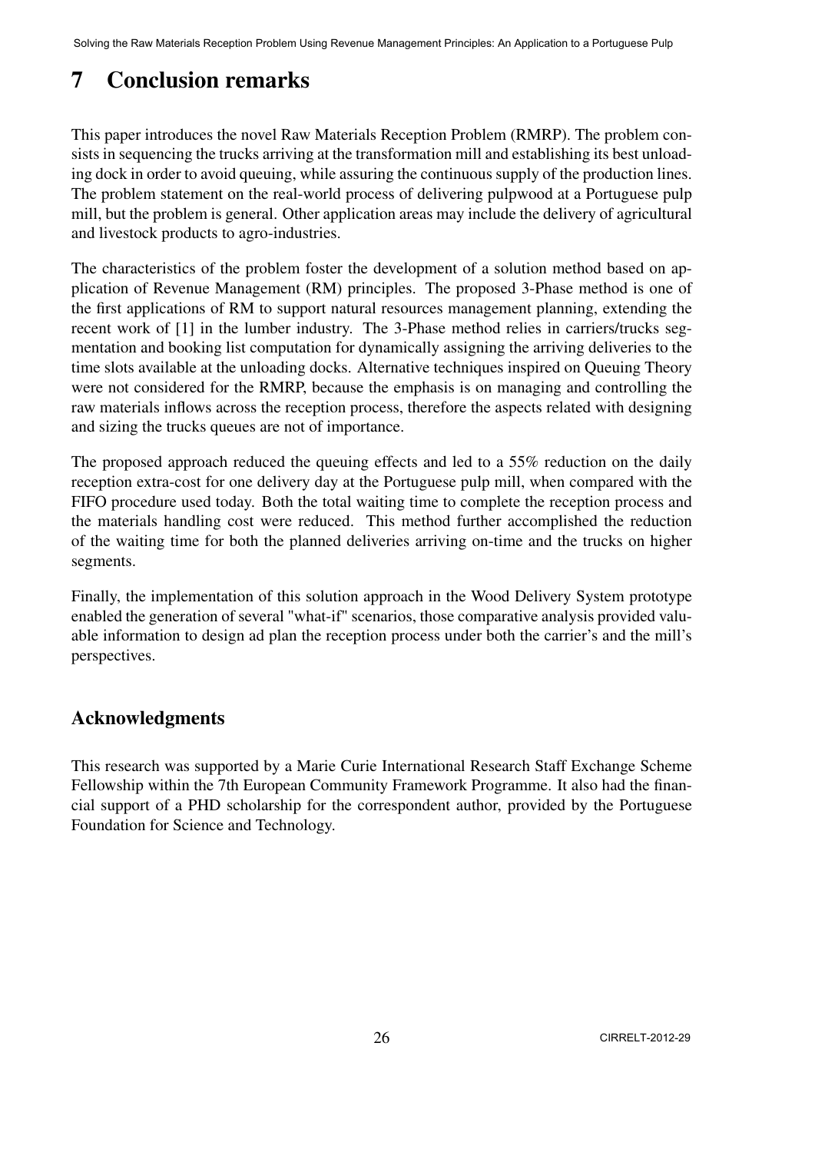# 7 Conclusion remarks

This paper introduces the novel Raw Materials Reception Problem (RMRP). The problem consists in sequencing the trucks arriving at the transformation mill and establishing its best unloading dock in order to avoid queuing, while assuring the continuous supply of the production lines. The problem statement on the real-world process of delivering pulpwood at a Portuguese pulp mill, but the problem is general. Other application areas may include the delivery of agricultural and livestock products to agro-industries.

The characteristics of the problem foster the development of a solution method based on application of Revenue Management (RM) principles. The proposed 3-Phase method is one of the first applications of RM to support natural resources management planning, extending the recent work of [1] in the lumber industry. The 3-Phase method relies in carriers/trucks segmentation and booking list computation for dynamically assigning the arriving deliveries to the time slots available at the unloading docks. Alternative techniques inspired on Queuing Theory were not considered for the RMRP, because the emphasis is on managing and controlling the raw materials inflows across the reception process, therefore the aspects related with designing and sizing the trucks queues are not of importance.

The proposed approach reduced the queuing effects and led to a 55% reduction on the daily reception extra-cost for one delivery day at the Portuguese pulp mill, when compared with the FIFO procedure used today. Both the total waiting time to complete the reception process and the materials handling cost were reduced. This method further accomplished the reduction of the waiting time for both the planned deliveries arriving on-time and the trucks on higher segments.

Finally, the implementation of this solution approach in the Wood Delivery System prototype enabled the generation of several "what-if" scenarios, those comparative analysis provided valuable information to design ad plan the reception process under both the carrier's and the mill's perspectives.

### Acknowledgments

This research was supported by a Marie Curie International Research Staff Exchange Scheme Fellowship within the 7th European Community Framework Programme. It also had the financial support of a PHD scholarship for the correspondent author, provided by the Portuguese Foundation for Science and Technology.